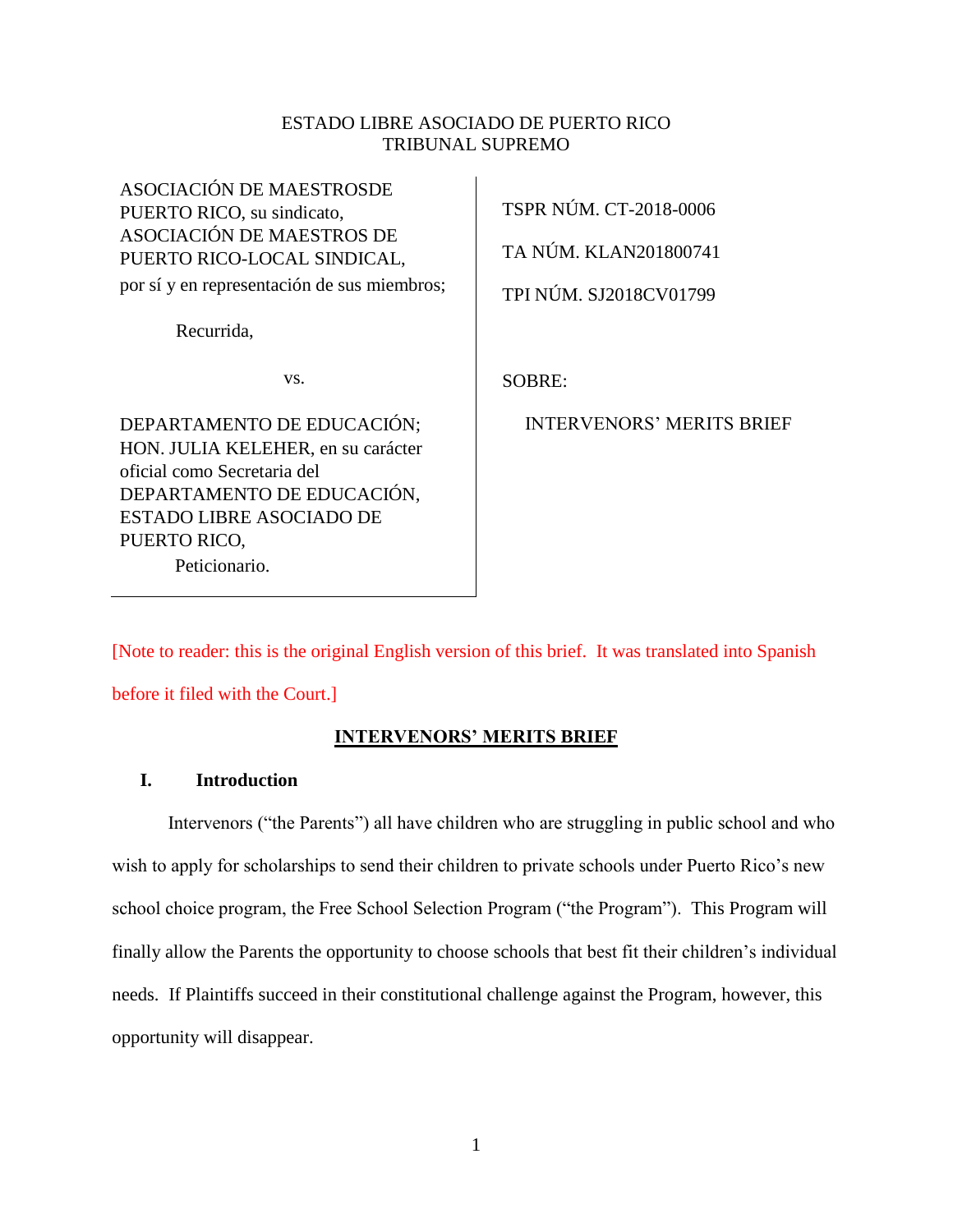### ESTADO LIBRE ASOCIADO DE PUERTO RICO TRIBUNAL SUPREMO

 $\mathbf{r}$ 

| <b>ASOCIACIÓN DE MAESTROSDE</b><br>PUERTO RICO, su sindicato,<br>ASOCIACIÓN DE MAESTROS DE<br>PUERTO RICO-LOCAL SINDICAL,<br>por sí y en representación de sus miembros;                          | TSPR NÚM. CT-2018-0006<br>TA NÚM. KLAN201800741<br>TPI NÚM. SJ2018CV01799 |
|---------------------------------------------------------------------------------------------------------------------------------------------------------------------------------------------------|---------------------------------------------------------------------------|
| Recurrida,                                                                                                                                                                                        |                                                                           |
| VS.                                                                                                                                                                                               | <b>SOBRE:</b>                                                             |
| DEPARTAMENTO DE EDUCACIÓN;<br>HON. JULIA KELEHER, en su carácter<br>oficial como Secretaria del<br>DEPARTAMENTO DE EDUCACIÓN,<br><b>ESTADO LIBRE ASOCIADO DE</b><br>PUERTO RICO,<br>Peticionario. | <b>INTERVENORS' MERITS BRIEF</b>                                          |

[Note to reader: this is the original English version of this brief. It was translated into Spanish

before it filed with the Court.]

## **INTERVENORS' MERITS BRIEF**

## **I. Introduction**

Intervenors ("the Parents") all have children who are struggling in public school and who wish to apply for scholarships to send their children to private schools under Puerto Rico's new school choice program, the Free School Selection Program ("the Program"). This Program will finally allow the Parents the opportunity to choose schools that best fit their children's individual needs. If Plaintiffs succeed in their constitutional challenge against the Program, however, this opportunity will disappear.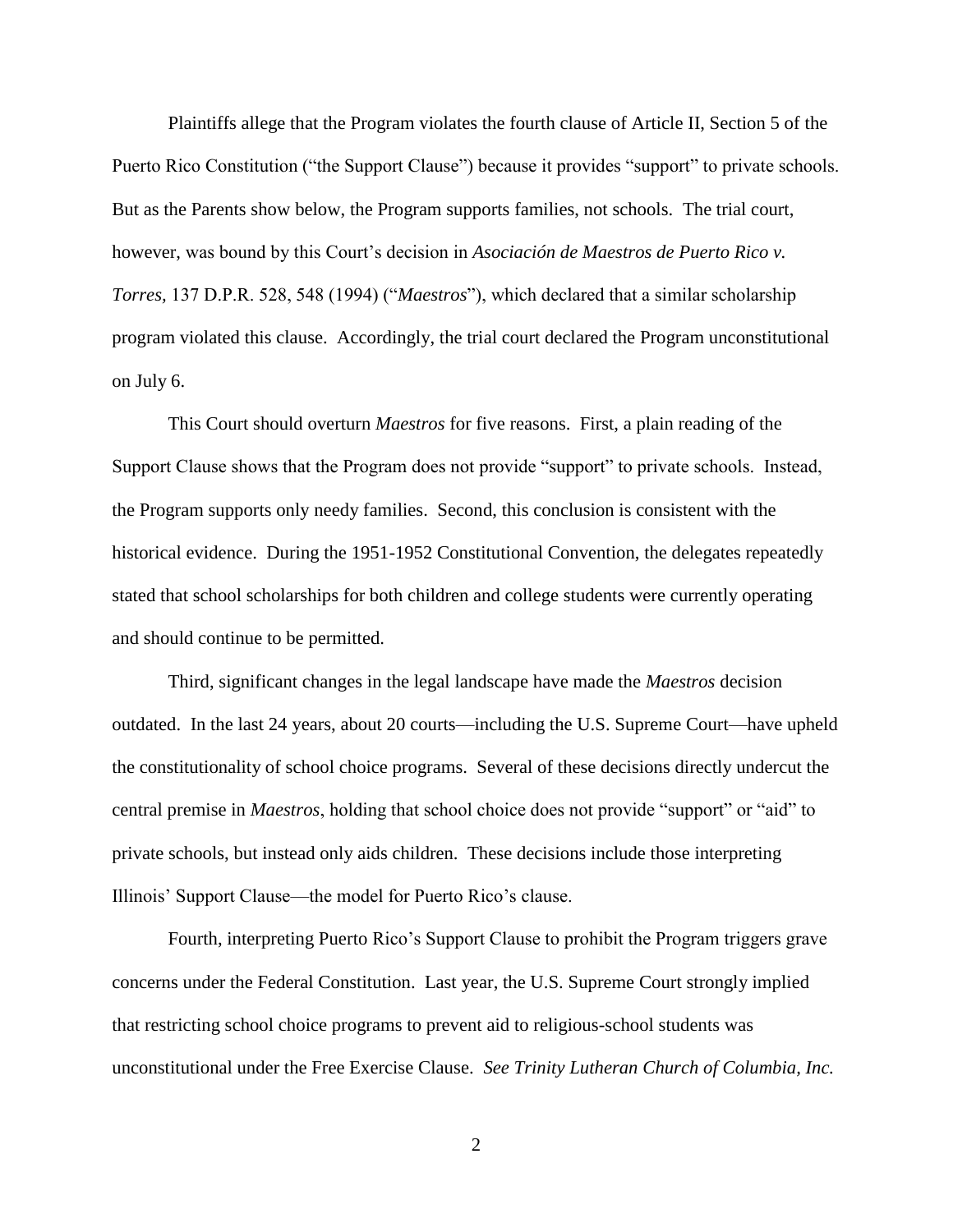Plaintiffs allege that the Program violates the fourth clause of Article II, Section 5 of the Puerto Rico Constitution ("the Support Clause") because it provides "support" to private schools. But as the Parents show below, the Program supports families, not schools. The trial court, however, was bound by this Court's decision in *Asociación de Maestros de Puerto Rico v. Torres,* 137 D.P.R. 528, 548 (1994) ("*Maestros*"), which declared that a similar scholarship program violated this clause. Accordingly, the trial court declared the Program unconstitutional on July 6.

This Court should overturn *Maestros* for five reasons. First, a plain reading of the Support Clause shows that the Program does not provide "support" to private schools. Instead, the Program supports only needy families. Second, this conclusion is consistent with the historical evidence. During the 1951-1952 Constitutional Convention, the delegates repeatedly stated that school scholarships for both children and college students were currently operating and should continue to be permitted.

Third, significant changes in the legal landscape have made the *Maestros* decision outdated. In the last 24 years, about 20 courts—including the U.S. Supreme Court—have upheld the constitutionality of school choice programs. Several of these decisions directly undercut the central premise in *Maestros*, holding that school choice does not provide "support" or "aid" to private schools, but instead only aids children. These decisions include those interpreting Illinois' Support Clause—the model for Puerto Rico's clause.

Fourth, interpreting Puerto Rico's Support Clause to prohibit the Program triggers grave concerns under the Federal Constitution. Last year, the U.S. Supreme Court strongly implied that restricting school choice programs to prevent aid to religious-school students was unconstitutional under the Free Exercise Clause. *See Trinity Lutheran Church of Columbia, Inc.*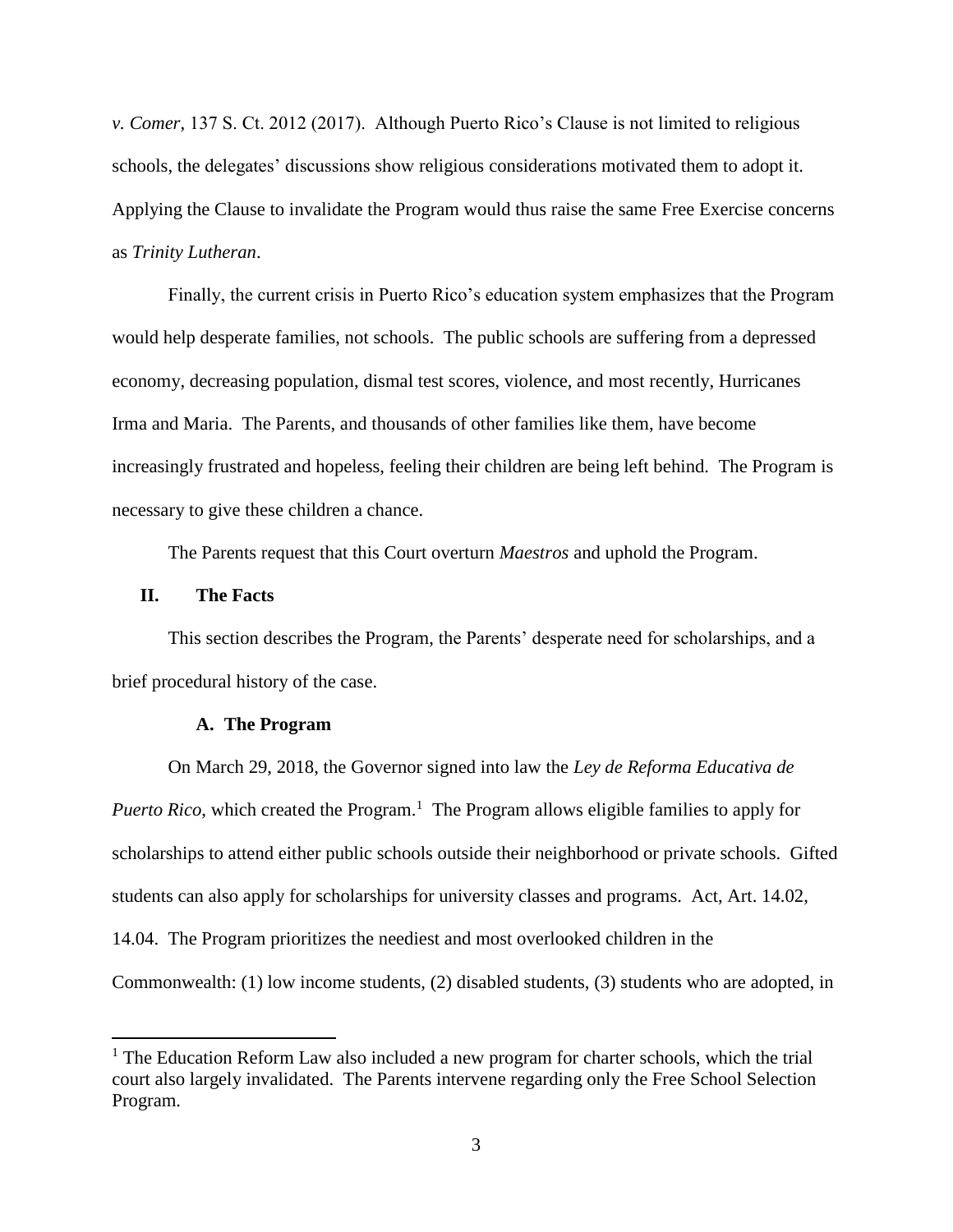*v. Comer*, 137 S. Ct. 2012 (2017). Although Puerto Rico's Clause is not limited to religious schools, the delegates' discussions show religious considerations motivated them to adopt it. Applying the Clause to invalidate the Program would thus raise the same Free Exercise concerns as *Trinity Lutheran*.

Finally, the current crisis in Puerto Rico's education system emphasizes that the Program would help desperate families, not schools. The public schools are suffering from a depressed economy, decreasing population, dismal test scores, violence, and most recently, Hurricanes Irma and Maria. The Parents, and thousands of other families like them, have become increasingly frustrated and hopeless, feeling their children are being left behind. The Program is necessary to give these children a chance.

The Parents request that this Court overturn *Maestros* and uphold the Program.

#### **II. The Facts**

 $\overline{a}$ 

This section describes the Program, the Parents' desperate need for scholarships, and a brief procedural history of the case.

## **A. The Program**

On March 29, 2018, the Governor signed into law the *Ley de Reforma Educativa de*  Puerto Rico, which created the Program.<sup>1</sup> The Program allows eligible families to apply for scholarships to attend either public schools outside their neighborhood or private schools. Gifted students can also apply for scholarships for university classes and programs. Act, Art. 14.02, 14.04. The Program prioritizes the neediest and most overlooked children in the Commonwealth: (1) low income students, (2) disabled students, (3) students who are adopted, in

 $<sup>1</sup>$  The Education Reform Law also included a new program for charter schools, which the trial</sup> court also largely invalidated. The Parents intervene regarding only the Free School Selection Program.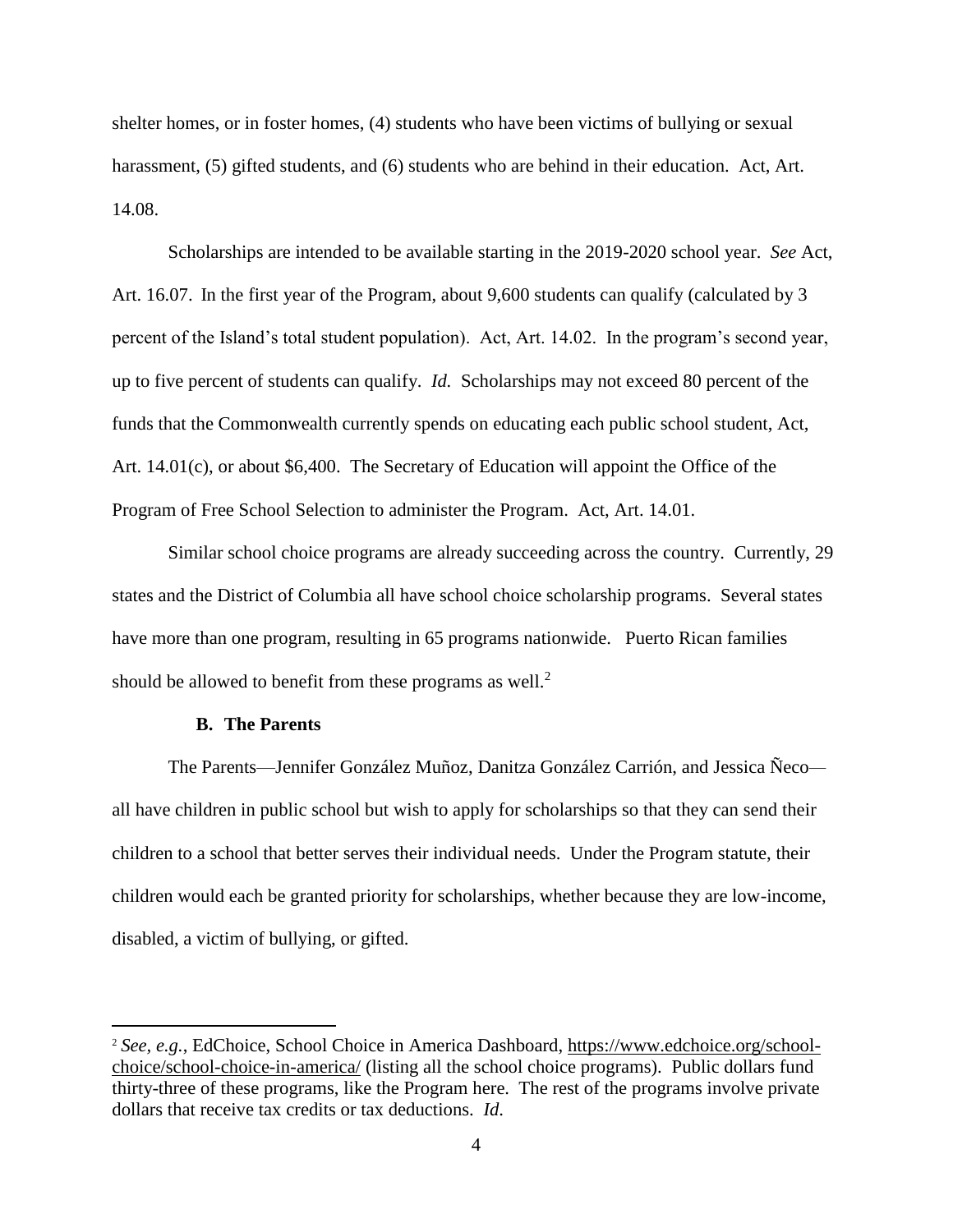shelter homes, or in foster homes, (4) students who have been victims of bullying or sexual harassment, (5) gifted students, and (6) students who are behind in their education. Act, Art. 14.08.

Scholarships are intended to be available starting in the 2019-2020 school year. *See* Act, Art. 16.07. In the first year of the Program, about 9,600 students can qualify (calculated by 3 percent of the Island's total student population). Act, Art. 14.02. In the program's second year, up to five percent of students can qualify. *Id.* Scholarships may not exceed 80 percent of the funds that the Commonwealth currently spends on educating each public school student, Act, Art. 14.01(c), or about \$6,400. The Secretary of Education will appoint the Office of the Program of Free School Selection to administer the Program. Act, Art. 14.01.

Similar school choice programs are already succeeding across the country. Currently, 29 states and the District of Columbia all have school choice scholarship programs. Several states have more than one program, resulting in 65 programs nationwide. Puerto Rican families should be allowed to benefit from these programs as well.<sup>2</sup>

### **B. The Parents**

l

The Parents—Jennifer González Muñoz, Danitza González Carrión, and Jessica Ñeco all have children in public school but wish to apply for scholarships so that they can send their children to a school that better serves their individual needs. Under the Program statute, their children would each be granted priority for scholarships, whether because they are low-income, disabled, a victim of bullying, or gifted.

<sup>2</sup> *See, e.g.*, EdChoice, School Choice in America Dashboard, [https://www.edchoice.org/school](https://www.edchoice.org/school-choice/school-choice-in-america/)[choice/school-choice-in-america/](https://www.edchoice.org/school-choice/school-choice-in-america/) (listing all the school choice programs). Public dollars fund thirty-three of these programs, like the Program here. The rest of the programs involve private dollars that receive tax credits or tax deductions. *Id*.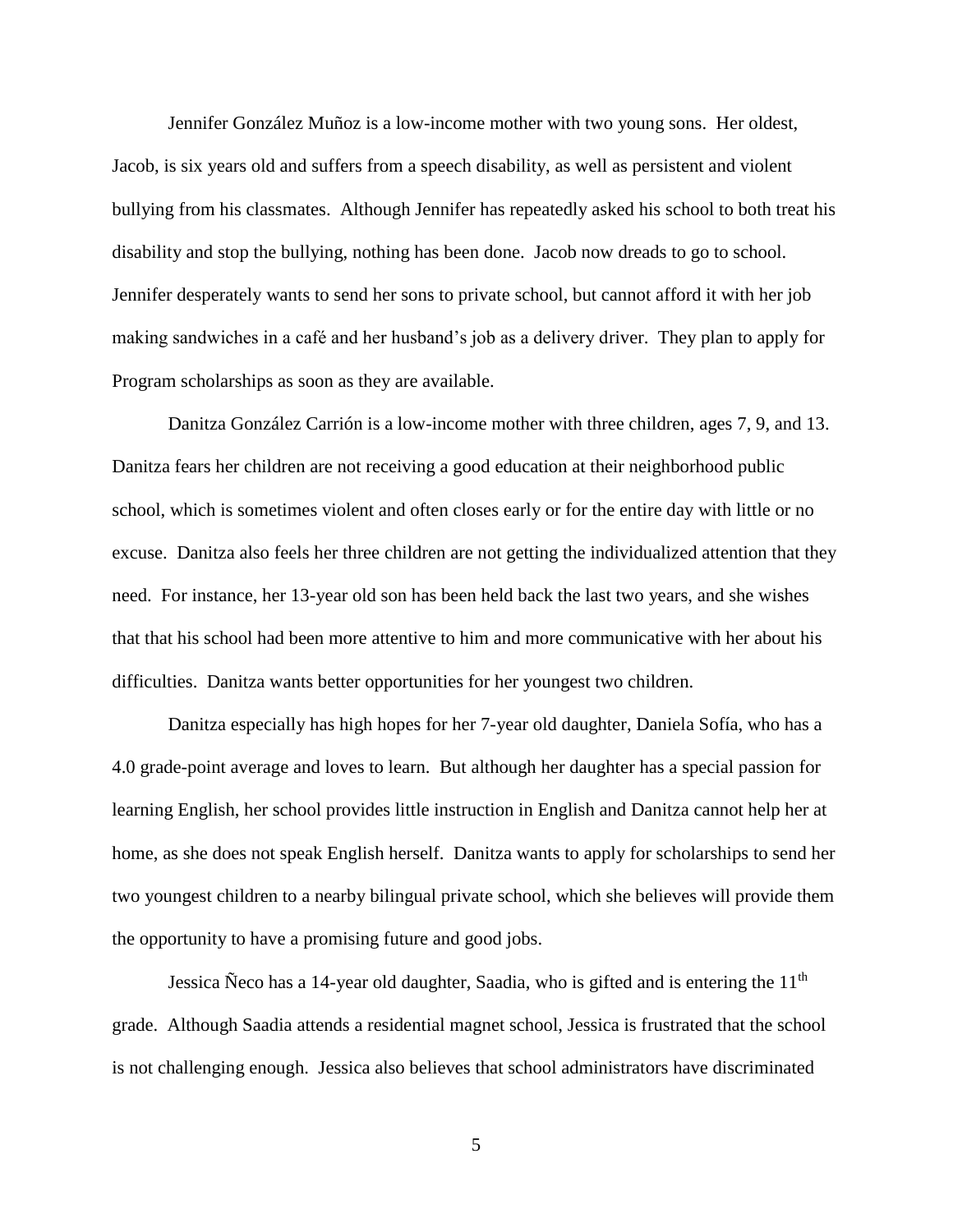Jennifer González Muñoz is a low-income mother with two young sons. Her oldest, Jacob, is six years old and suffers from a speech disability, as well as persistent and violent bullying from his classmates. Although Jennifer has repeatedly asked his school to both treat his disability and stop the bullying, nothing has been done. Jacob now dreads to go to school. Jennifer desperately wants to send her sons to private school, but cannot afford it with her job making sandwiches in a café and her husband's job as a delivery driver. They plan to apply for Program scholarships as soon as they are available.

Danitza González Carrión is a low-income mother with three children, ages 7, 9, and 13. Danitza fears her children are not receiving a good education at their neighborhood public school, which is sometimes violent and often closes early or for the entire day with little or no excuse. Danitza also feels her three children are not getting the individualized attention that they need. For instance, her 13-year old son has been held back the last two years, and she wishes that that his school had been more attentive to him and more communicative with her about his difficulties. Danitza wants better opportunities for her youngest two children.

Danitza especially has high hopes for her 7-year old daughter, Daniela Sofía, who has a 4.0 grade-point average and loves to learn. But although her daughter has a special passion for learning English, her school provides little instruction in English and Danitza cannot help her at home, as she does not speak English herself. Danitza wants to apply for scholarships to send her two youngest children to a nearby bilingual private school, which she believes will provide them the opportunity to have a promising future and good jobs.

Jessica Neco has a 14-year old daughter, Saadia, who is gifted and is entering the  $11<sup>th</sup>$ grade. Although Saadia attends a residential magnet school, Jessica is frustrated that the school is not challenging enough. Jessica also believes that school administrators have discriminated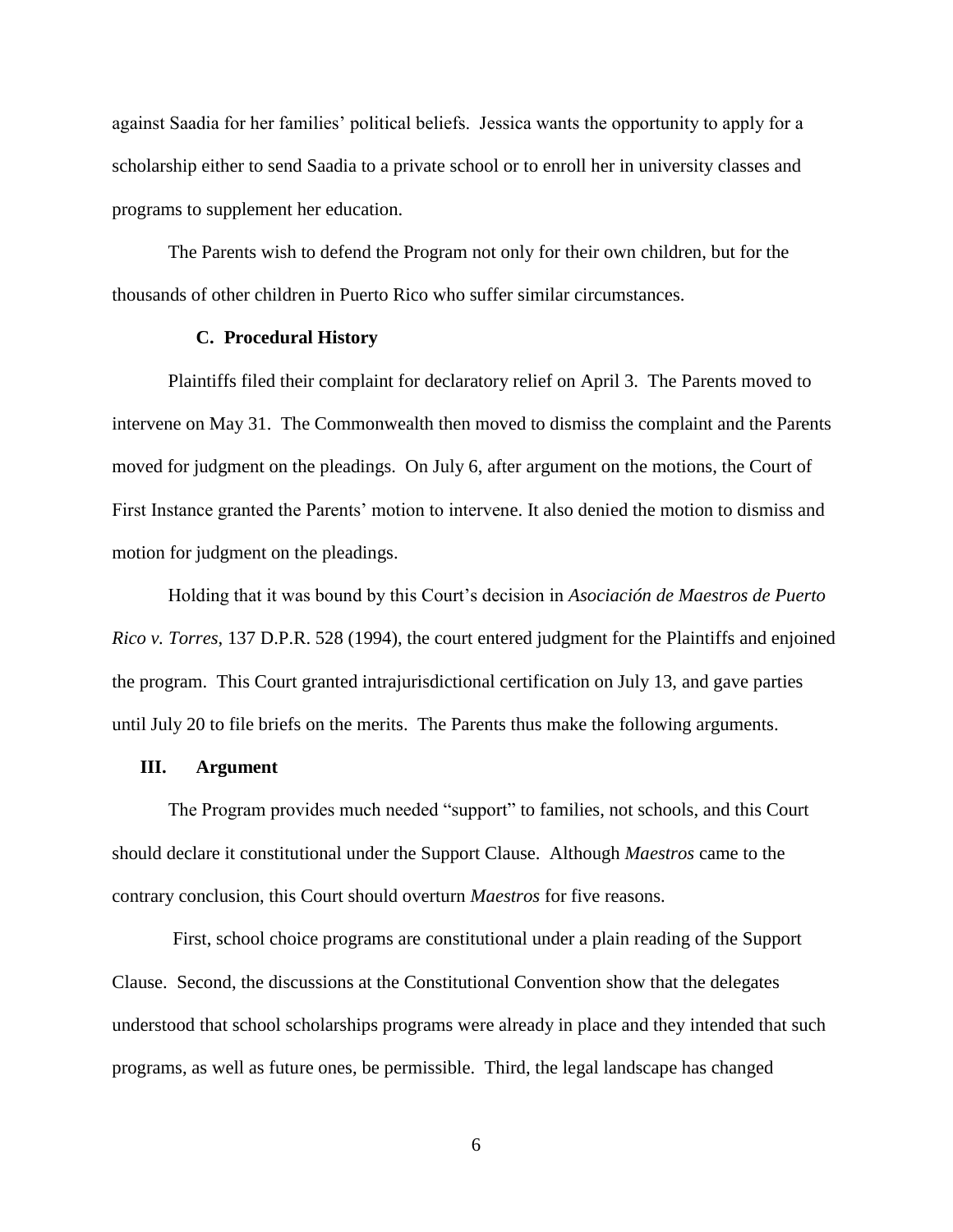against Saadia for her families' political beliefs. Jessica wants the opportunity to apply for a scholarship either to send Saadia to a private school or to enroll her in university classes and programs to supplement her education.

The Parents wish to defend the Program not only for their own children, but for the thousands of other children in Puerto Rico who suffer similar circumstances.

### **C. Procedural History**

Plaintiffs filed their complaint for declaratory relief on April 3. The Parents moved to intervene on May 31. The Commonwealth then moved to dismiss the complaint and the Parents moved for judgment on the pleadings. On July 6, after argument on the motions, the Court of First Instance granted the Parents' motion to intervene. It also denied the motion to dismiss and motion for judgment on the pleadings.

Holding that it was bound by this Court's decision in *Asociación de Maestros de Puerto Rico v. Torres*, 137 D.P.R. 528 (1994), the court entered judgment for the Plaintiffs and enjoined the program. This Court granted intrajurisdictional certification on July 13, and gave parties until July 20 to file briefs on the merits. The Parents thus make the following arguments.

### **III. Argument**

The Program provides much needed "support" to families, not schools, and this Court should declare it constitutional under the Support Clause. Although *Maestros* came to the contrary conclusion, this Court should overturn *Maestros* for five reasons.

First, school choice programs are constitutional under a plain reading of the Support Clause. Second, the discussions at the Constitutional Convention show that the delegates understood that school scholarships programs were already in place and they intended that such programs, as well as future ones, be permissible. Third, the legal landscape has changed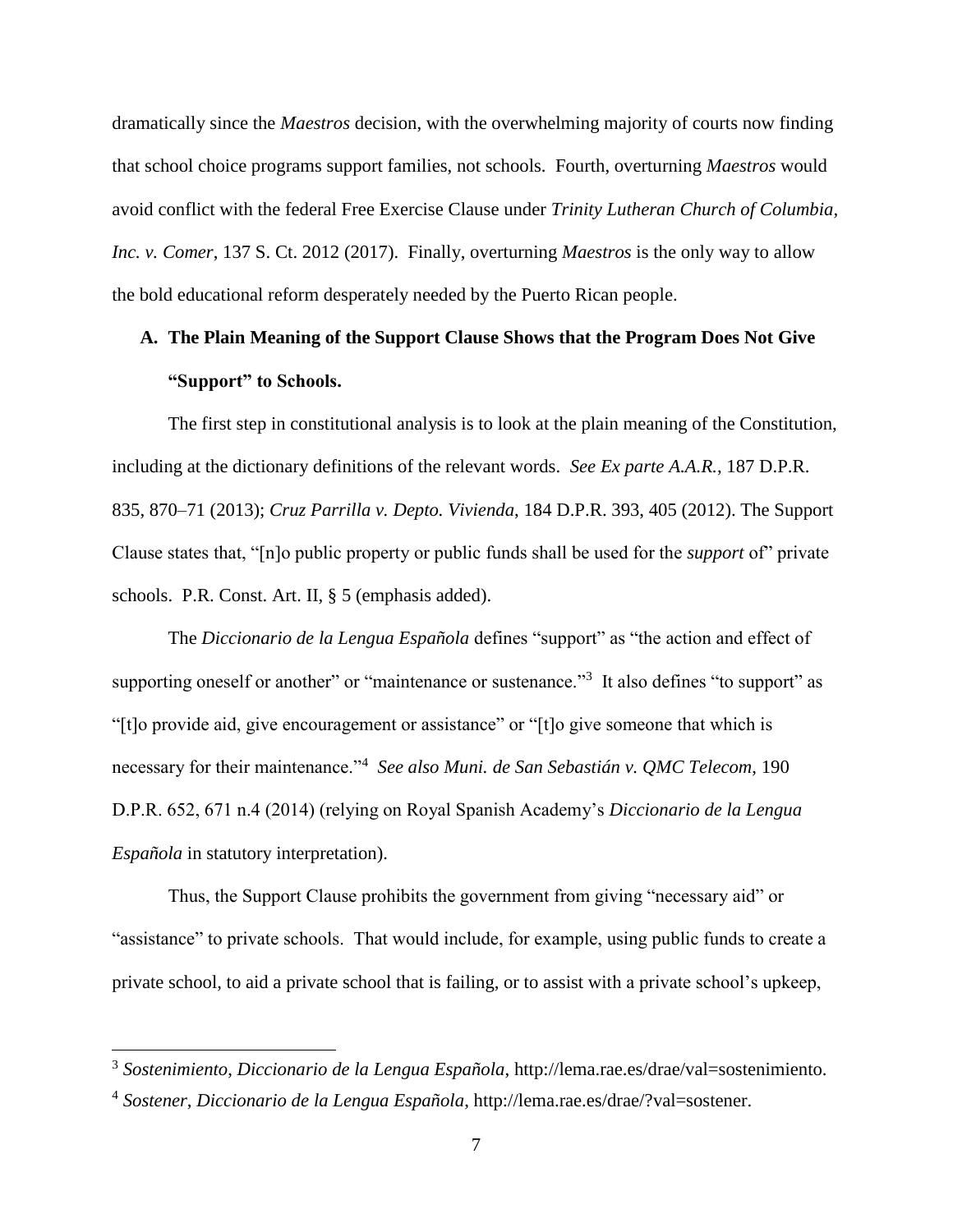dramatically since the *Maestros* decision, with the overwhelming majority of courts now finding that school choice programs support families, not schools. Fourth, overturning *Maestros* would avoid conflict with the federal Free Exercise Clause under *Trinity Lutheran Church of Columbia, Inc. v. Comer*, 137 S. Ct. 2012 (2017). Finally, overturning *Maestros* is the only way to allow the bold educational reform desperately needed by the Puerto Rican people.

# **A. The Plain Meaning of the Support Clause Shows that the Program Does Not Give "Support" to Schools.**

The first step in constitutional analysis is to look at the plain meaning of the Constitution, including at the dictionary definitions of the relevant words. *See Ex parte A.A.R.*, 187 D.P.R. 835, 870–71 (2013); *Cruz Parrilla v. Depto. Vivienda*, 184 D.P.R. 393, 405 (2012). The Support Clause states that, "[n]o public property or public funds shall be used for the *support* of" private schools. P.R. Const. Art. II, § 5 (emphasis added).

The *Diccionario de la Lengua Española* defines "support" as "the action and effect of supporting oneself or another" or "maintenance or sustenance."<sup>3</sup> It also defines "to support" as "[t]o provide aid, give encouragement or assistance" or "[t]o give someone that which is necessary for their maintenance."<sup>4</sup> *See also Muni. de San Sebastián v. QMC Telecom*, 190 D.P.R. 652, 671 n.4 (2014) (relying on Royal Spanish Academy's *Diccionario de la Lengua Española* in statutory interpretation).

Thus, the Support Clause prohibits the government from giving "necessary aid" or "assistance" to private schools. That would include, for example, using public funds to create a private school, to aid a private school that is failing, or to assist with a private school's upkeep,

 $\overline{a}$ 

<sup>3</sup> *Sostenimiento*, *Diccionario de la Lengua Española*, http://lema.rae.es/drae/val=sostenimiento.

<sup>4</sup> *Sostener*, *Diccionario de la Lengua Española*, http://lema.rae.es/drae/?val=sostener.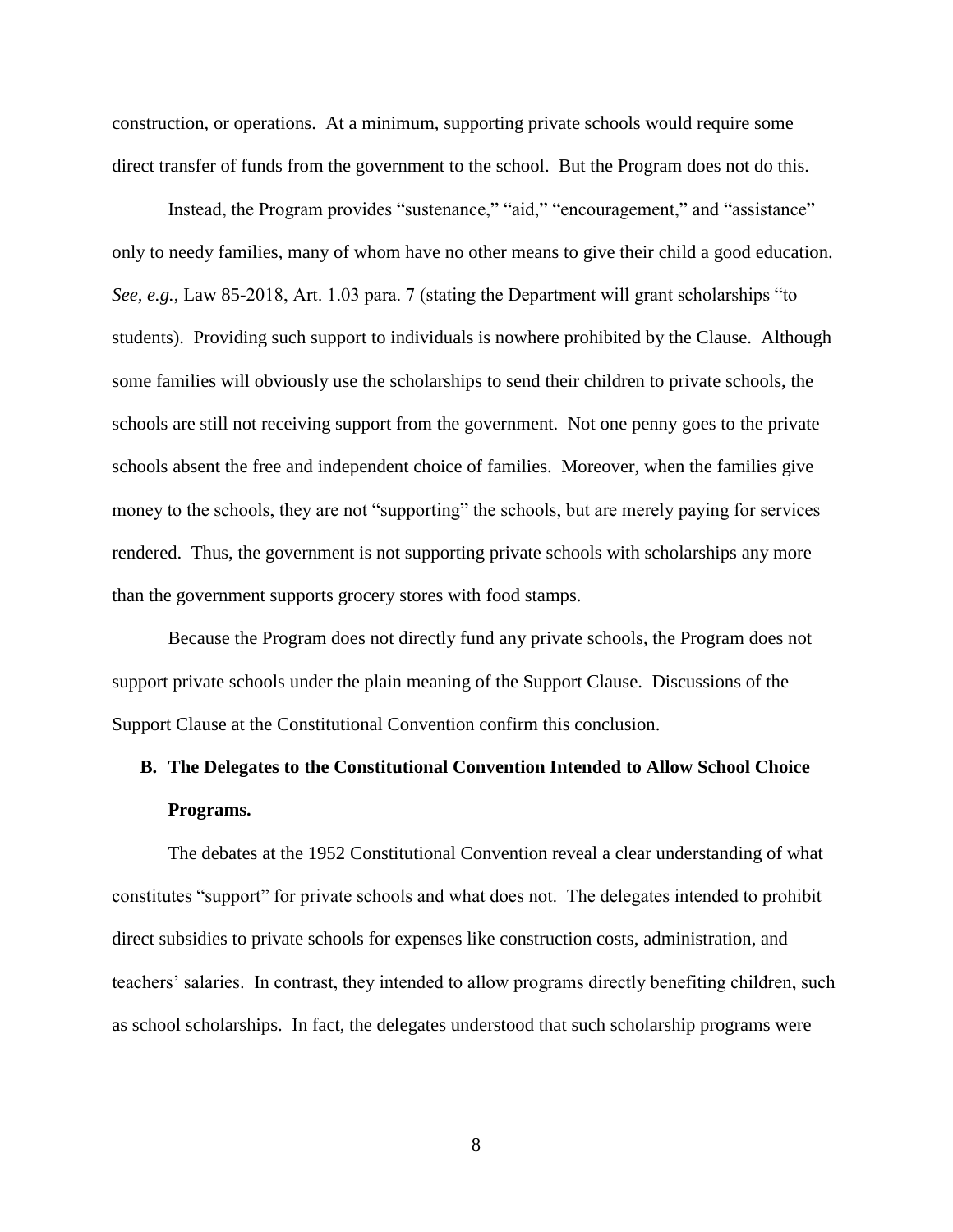construction, or operations. At a minimum, supporting private schools would require some direct transfer of funds from the government to the school. But the Program does not do this.

Instead, the Program provides "sustenance," "aid," "encouragement," and "assistance" only to needy families, many of whom have no other means to give their child a good education. *See, e.g.*, Law 85-2018, Art. 1.03 para. 7 (stating the Department will grant scholarships "to students). Providing such support to individuals is nowhere prohibited by the Clause. Although some families will obviously use the scholarships to send their children to private schools, the schools are still not receiving support from the government. Not one penny goes to the private schools absent the free and independent choice of families. Moreover, when the families give money to the schools, they are not "supporting" the schools, but are merely paying for services rendered. Thus, the government is not supporting private schools with scholarships any more than the government supports grocery stores with food stamps.

Because the Program does not directly fund any private schools, the Program does not support private schools under the plain meaning of the Support Clause. Discussions of the Support Clause at the Constitutional Convention confirm this conclusion.

# **B. The Delegates to the Constitutional Convention Intended to Allow School Choice Programs.**

The debates at the 1952 Constitutional Convention reveal a clear understanding of what constitutes "support" for private schools and what does not. The delegates intended to prohibit direct subsidies to private schools for expenses like construction costs, administration, and teachers' salaries. In contrast, they intended to allow programs directly benefiting children, such as school scholarships. In fact, the delegates understood that such scholarship programs were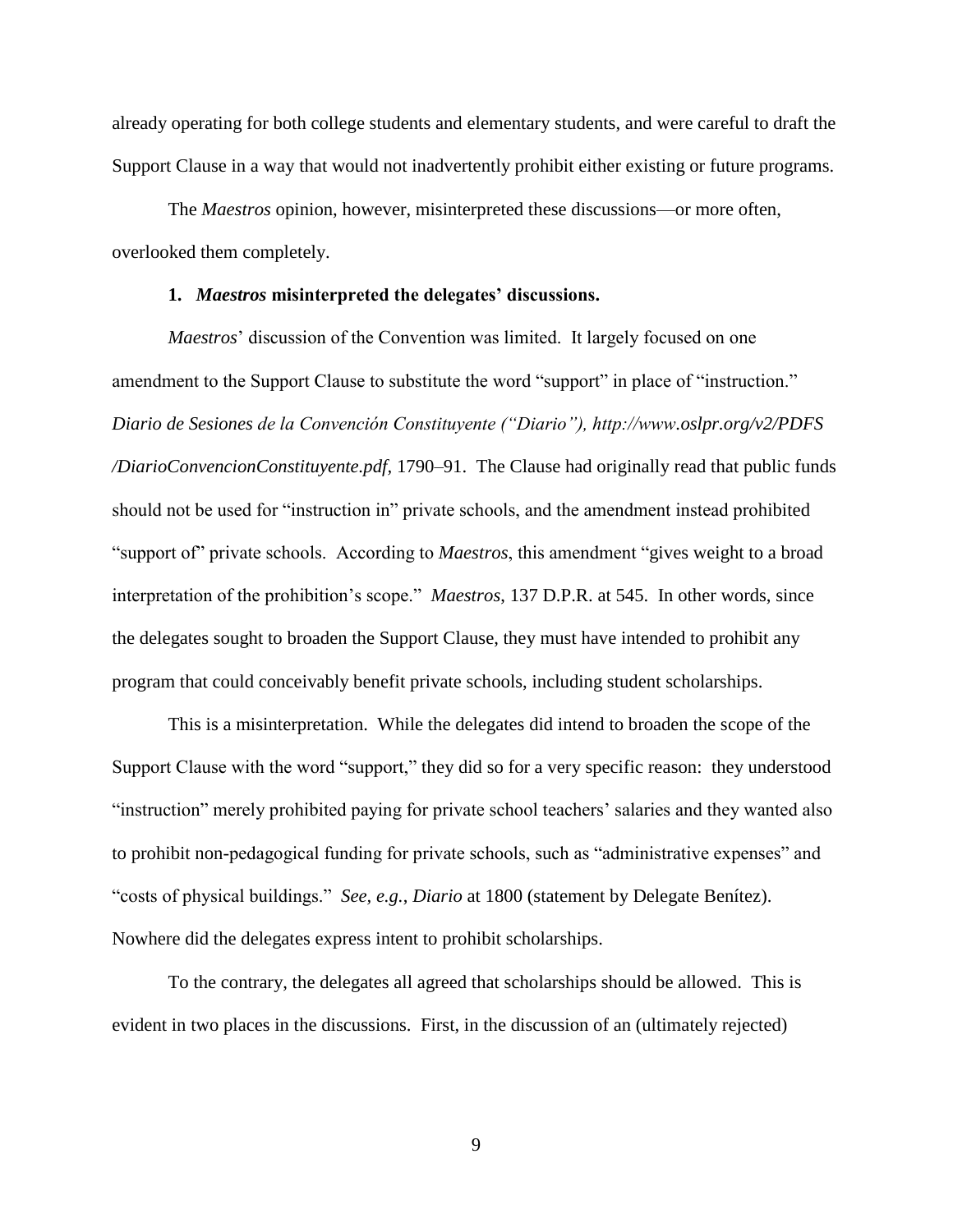already operating for both college students and elementary students, and were careful to draft the Support Clause in a way that would not inadvertently prohibit either existing or future programs.

The *Maestros* opinion, however, misinterpreted these discussions—or more often, overlooked them completely.

#### **1.** *Maestros* **misinterpreted the delegates' discussions.**

*Maestros*' discussion of the Convention was limited. It largely focused on one amendment to the Support Clause to substitute the word "support" in place of "instruction." *Diario de Sesiones de la Convención Constituyente ("Diario"), http://www.oslpr.org/v2/PDFS /DiarioConvencionConstituyente.pdf,* 1790–91. The Clause had originally read that public funds should not be used for "instruction in" private schools, and the amendment instead prohibited "support of" private schools. According to *Maestros*, this amendment "gives weight to a broad interpretation of the prohibition's scope." *Maestros*, 137 D.P.R. at 545. In other words, since the delegates sought to broaden the Support Clause, they must have intended to prohibit any program that could conceivably benefit private schools, including student scholarships.

This is a misinterpretation. While the delegates did intend to broaden the scope of the Support Clause with the word "support," they did so for a very specific reason: they understood "instruction" merely prohibited paying for private school teachers' salaries and they wanted also to prohibit non-pedagogical funding for private schools, such as "administrative expenses" and "costs of physical buildings." *See, e.g.*, *Diario* at 1800 (statement by Delegate Benítez). Nowhere did the delegates express intent to prohibit scholarships.

To the contrary, the delegates all agreed that scholarships should be allowed. This is evident in two places in the discussions. First, in the discussion of an (ultimately rejected)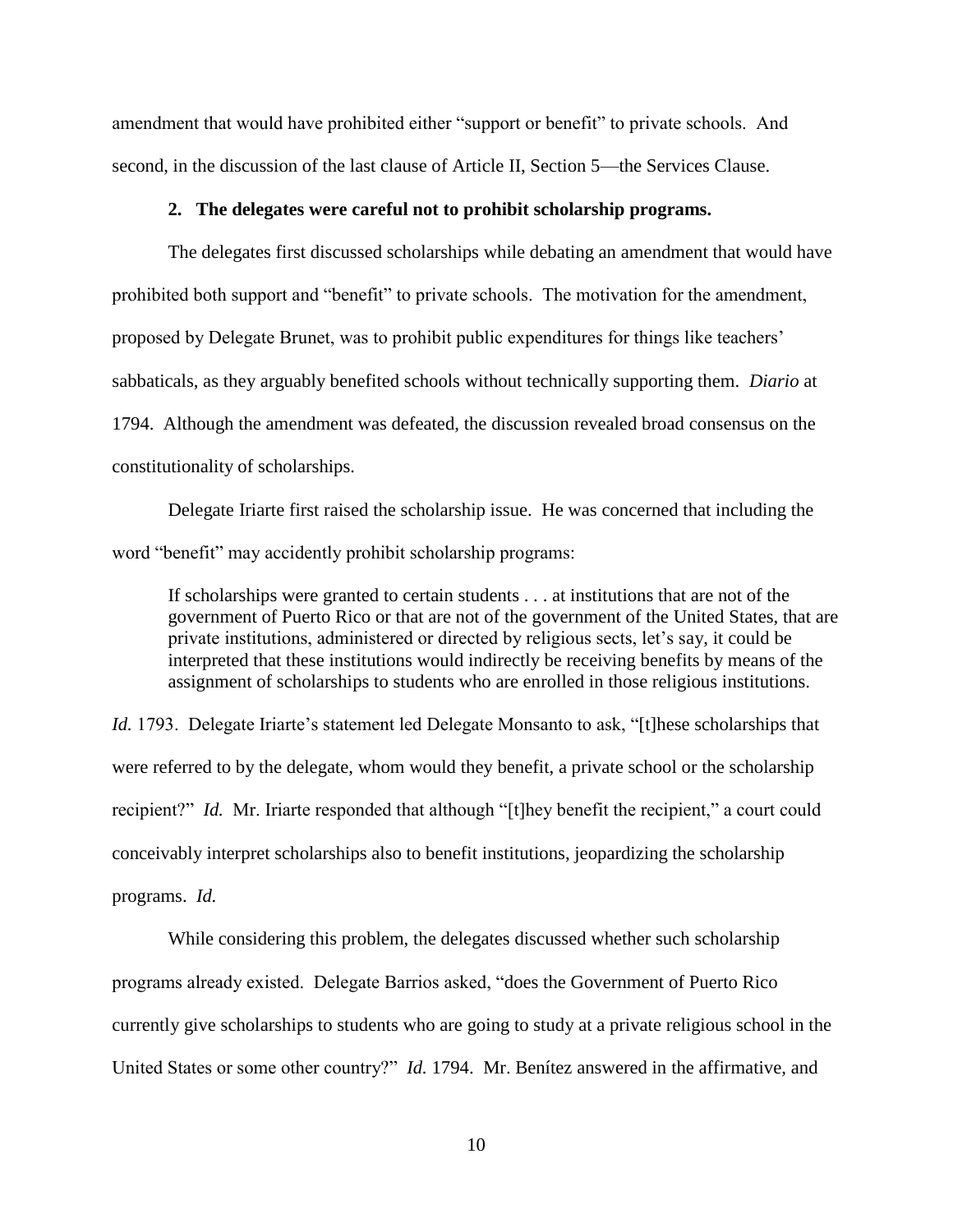amendment that would have prohibited either "support or benefit" to private schools. And second, in the discussion of the last clause of Article II, Section 5—the Services Clause.

### **2. The delegates were careful not to prohibit scholarship programs.**

The delegates first discussed scholarships while debating an amendment that would have prohibited both support and "benefit" to private schools. The motivation for the amendment, proposed by Delegate Brunet, was to prohibit public expenditures for things like teachers' sabbaticals, as they arguably benefited schools without technically supporting them. *Diario* at 1794. Although the amendment was defeated, the discussion revealed broad consensus on the constitutionality of scholarships.

Delegate Iriarte first raised the scholarship issue. He was concerned that including the word "benefit" may accidently prohibit scholarship programs:

If scholarships were granted to certain students . . . at institutions that are not of the government of Puerto Rico or that are not of the government of the United States, that are private institutions, administered or directed by religious sects, let's say, it could be interpreted that these institutions would indirectly be receiving benefits by means of the assignment of scholarships to students who are enrolled in those religious institutions.

*Id.* 1793. Delegate Iriarte's statement led Delegate Monsanto to ask, "[t]hese scholarships that were referred to by the delegate, whom would they benefit, a private school or the scholarship recipient?"*Id.* Mr. Iriarte responded that although "[t]hey benefit the recipient," a court could conceivably interpret scholarships also to benefit institutions, jeopardizing the scholarship programs. *Id.*

While considering this problem, the delegates discussed whether such scholarship programs already existed. Delegate Barrios asked, "does the Government of Puerto Rico currently give scholarships to students who are going to study at a private religious school in the United States or some other country?" *Id.* 1794. Mr. Benítez answered in the affirmative, and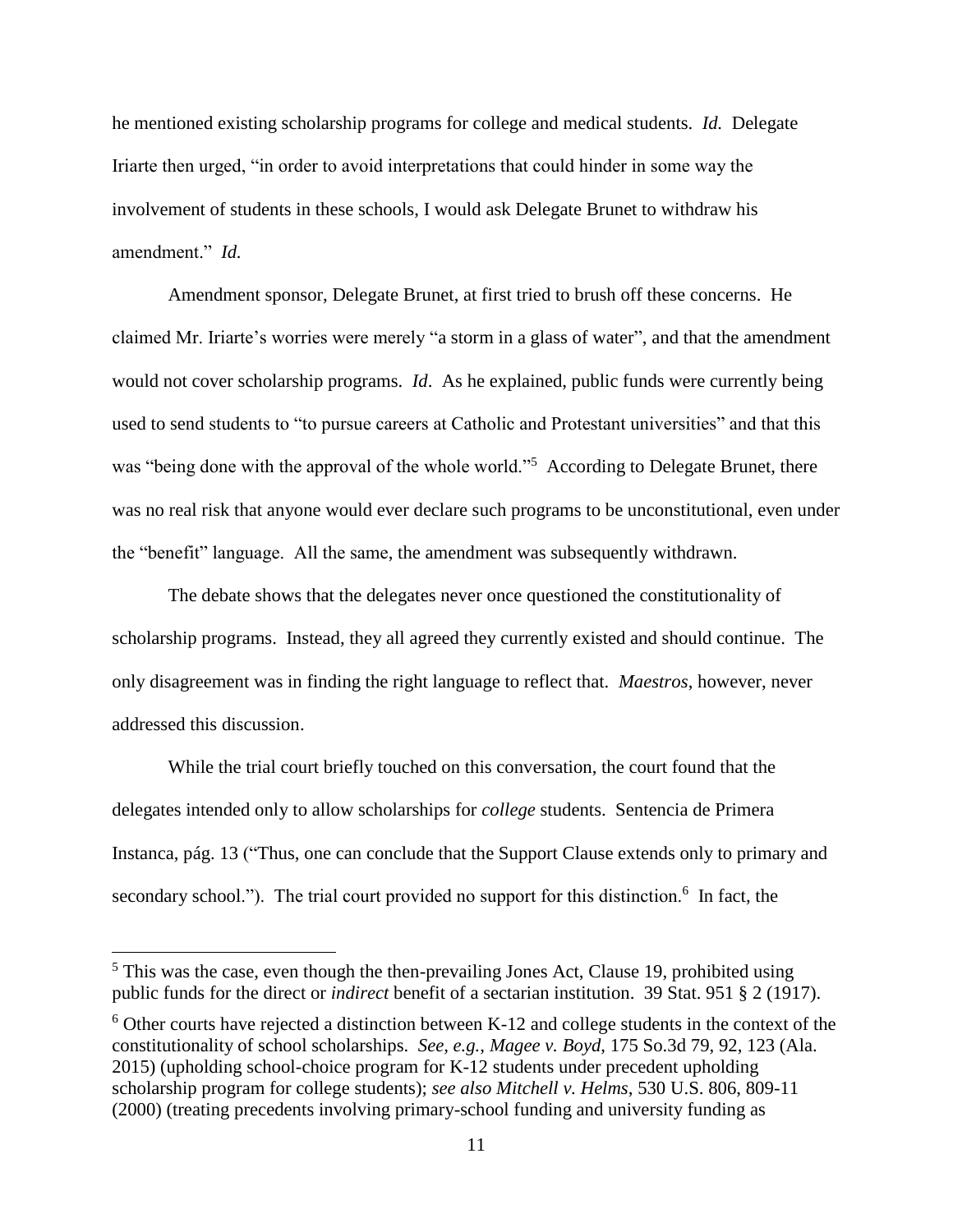he mentioned existing scholarship programs for college and medical students. *Id.* Delegate Iriarte then urged, "in order to avoid interpretations that could hinder in some way the involvement of students in these schools, I would ask Delegate Brunet to withdraw his amendment." *Id.*

Amendment sponsor, Delegate Brunet, at first tried to brush off these concerns. He claimed Mr. Iriarte's worries were merely "a storm in a glass of water", and that the amendment would not cover scholarship programs. *Id*. As he explained, public funds were currently being used to send students to "to pursue careers at Catholic and Protestant universities" and that this was "being done with the approval of the whole world."<sup>5</sup> According to Delegate Brunet, there was no real risk that anyone would ever declare such programs to be unconstitutional, even under the "benefit" language. All the same, the amendment was subsequently withdrawn.

The debate shows that the delegates never once questioned the constitutionality of scholarship programs. Instead, they all agreed they currently existed and should continue. The only disagreement was in finding the right language to reflect that. *Maestros*, however, never addressed this discussion.

While the trial court briefly touched on this conversation, the court found that the delegates intended only to allow scholarships for *college* students. Sentencia de Primera Instanca, pág. 13 ("Thus, one can conclude that the Support Clause extends only to primary and secondary school."). The trial court provided no support for this distinction.<sup>6</sup> In fact, the

 $\overline{\phantom{a}}$ 

 $5$  This was the case, even though the then-prevailing Jones Act, Clause 19, prohibited using public funds for the direct or *indirect* benefit of a sectarian institution. 39 Stat. 951 § 2 (1917).

 $6$  Other courts have rejected a distinction between K-12 and college students in the context of the constitutionality of school scholarships. *See, e.g.*, *Magee v. Boyd*, 175 So.3d 79, 92, 123 (Ala. 2015) (upholding school-choice program for K-12 students under precedent upholding scholarship program for college students); *see also Mitchell v. Helms*, 530 U.S. 806, 809-11 (2000) (treating precedents involving primary-school funding and university funding as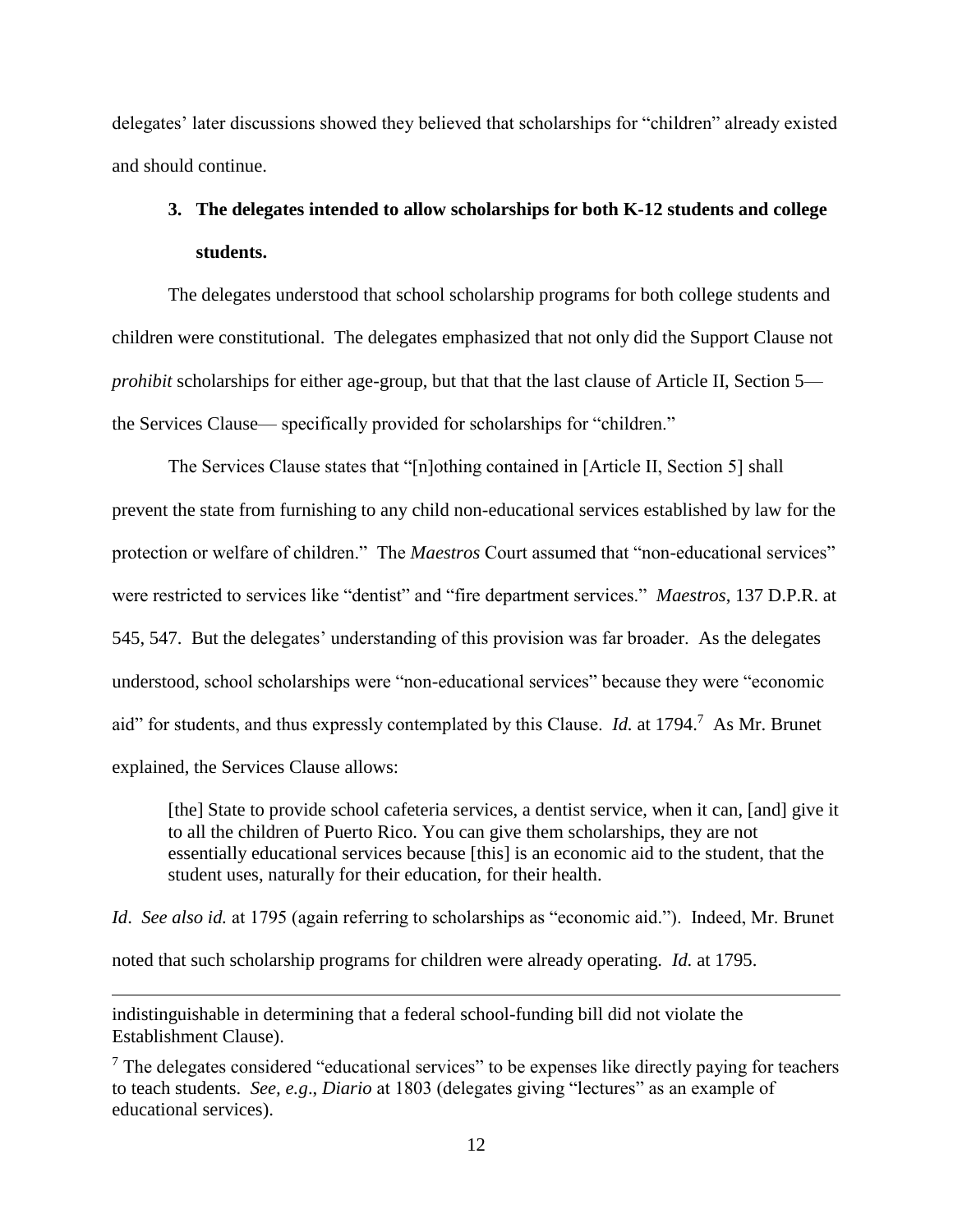delegates' later discussions showed they believed that scholarships for "children" already existed and should continue.

# **3. The delegates intended to allow scholarships for both K-12 students and college students.**

The delegates understood that school scholarship programs for both college students and children were constitutional. The delegates emphasized that not only did the Support Clause not *prohibit* scholarships for either age-group, but that that the last clause of Article II, Section 5 the Services Clause— specifically provided for scholarships for "children."

The Services Clause states that "[n]othing contained in [Article II, Section 5] shall prevent the state from furnishing to any child non-educational services established by law for the protection or welfare of children." The *Maestros* Court assumed that "non-educational services" were restricted to services like "dentist" and "fire department services." *Maestros*, 137 D.P.R. at 545, 547. But the delegates' understanding of this provision was far broader. As the delegates understood, school scholarships were "non-educational services" because they were "economic aid" for students, and thus expressly contemplated by this Clause. *Id.* at 1794.<sup>7</sup> As Mr. Brunet explained, the Services Clause allows:

[the] State to provide school cafeteria services, a dentist service, when it can, [and] give it to all the children of Puerto Rico. You can give them scholarships, they are not essentially educational services because [this] is an economic aid to the student, that the student uses, naturally for their education, for their health.

*Id*. *See also id.* at 1795 (again referring to scholarships as "economic aid."). Indeed, Mr. Brunet noted that such scholarship programs for children were already operating. *Id.* at 1795.

indistinguishable in determining that a federal school-funding bill did not violate the Establishment Clause).

 $\overline{\phantom{a}}$ 

 $<sup>7</sup>$  The delegates considered "educational services" to be expenses like directly paying for teachers</sup> to teach students. *See, e.g*., *Diario* at 1803 (delegates giving "lectures" as an example of educational services).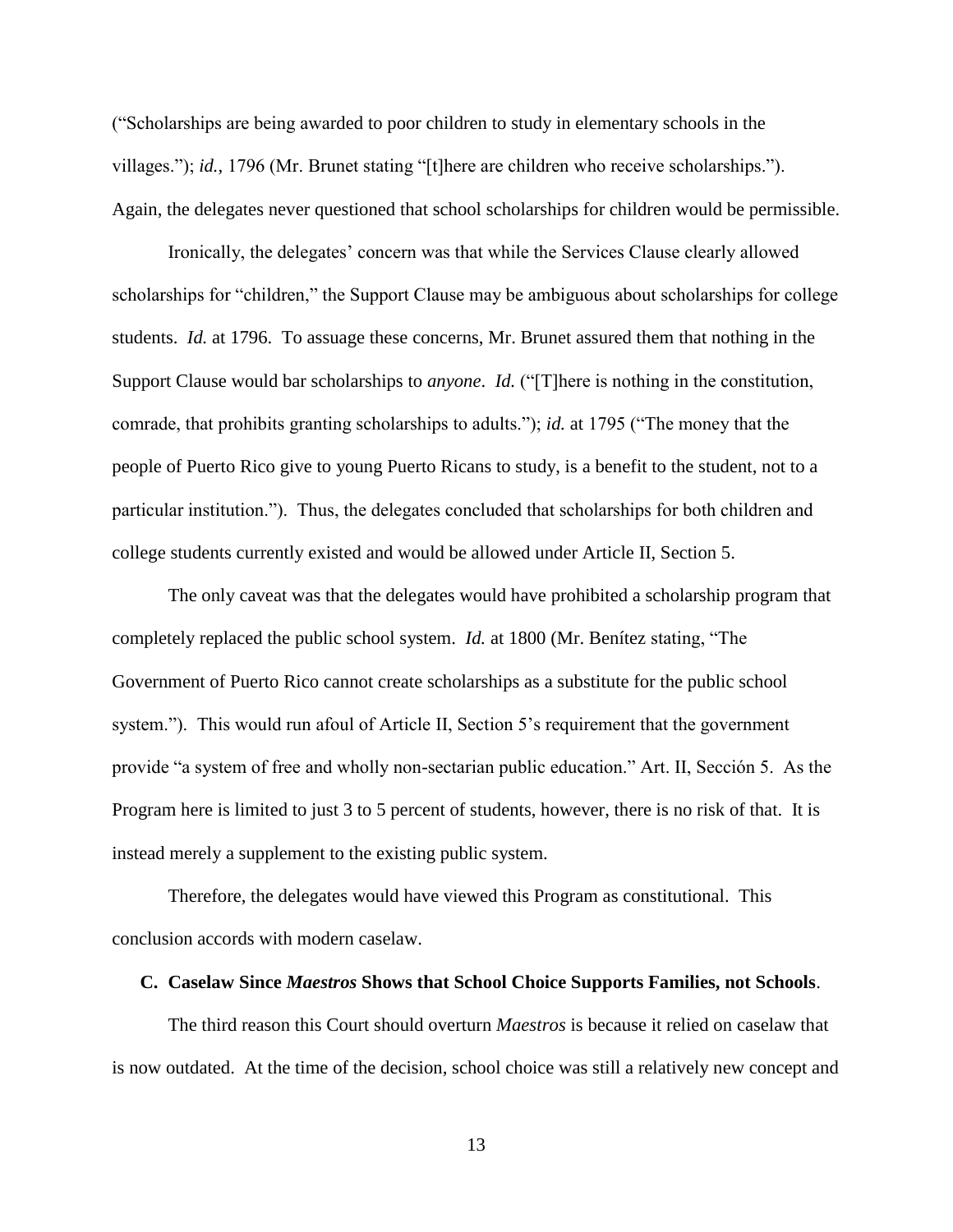("Scholarships are being awarded to poor children to study in elementary schools in the villages."); *id.,* 1796 (Mr. Brunet stating "[t]here are children who receive scholarships."). Again, the delegates never questioned that school scholarships for children would be permissible.

Ironically, the delegates' concern was that while the Services Clause clearly allowed scholarships for "children," the Support Clause may be ambiguous about scholarships for college students. *Id.* at 1796. To assuage these concerns, Mr. Brunet assured them that nothing in the Support Clause would bar scholarships to *anyone*. *Id.* ("[T]here is nothing in the constitution, comrade, that prohibits granting scholarships to adults."); *id.* at 1795 ("The money that the people of Puerto Rico give to young Puerto Ricans to study, is a benefit to the student, not to a particular institution."). Thus, the delegates concluded that scholarships for both children and college students currently existed and would be allowed under Article II, Section 5.

The only caveat was that the delegates would have prohibited a scholarship program that completely replaced the public school system. *Id.* at 1800 (Mr. Benítez stating, "The Government of Puerto Rico cannot create scholarships as a substitute for the public school system."). This would run afoul of Article II, Section 5's requirement that the government provide "a system of free and wholly non-sectarian public education." Art. II, Sección 5. As the Program here is limited to just 3 to 5 percent of students, however, there is no risk of that. It is instead merely a supplement to the existing public system.

Therefore, the delegates would have viewed this Program as constitutional. This conclusion accords with modern caselaw.

#### **C. Caselaw Since** *Maestros* **Shows that School Choice Supports Families, not Schools**.

The third reason this Court should overturn *Maestros* is because it relied on caselaw that is now outdated. At the time of the decision, school choice was still a relatively new concept and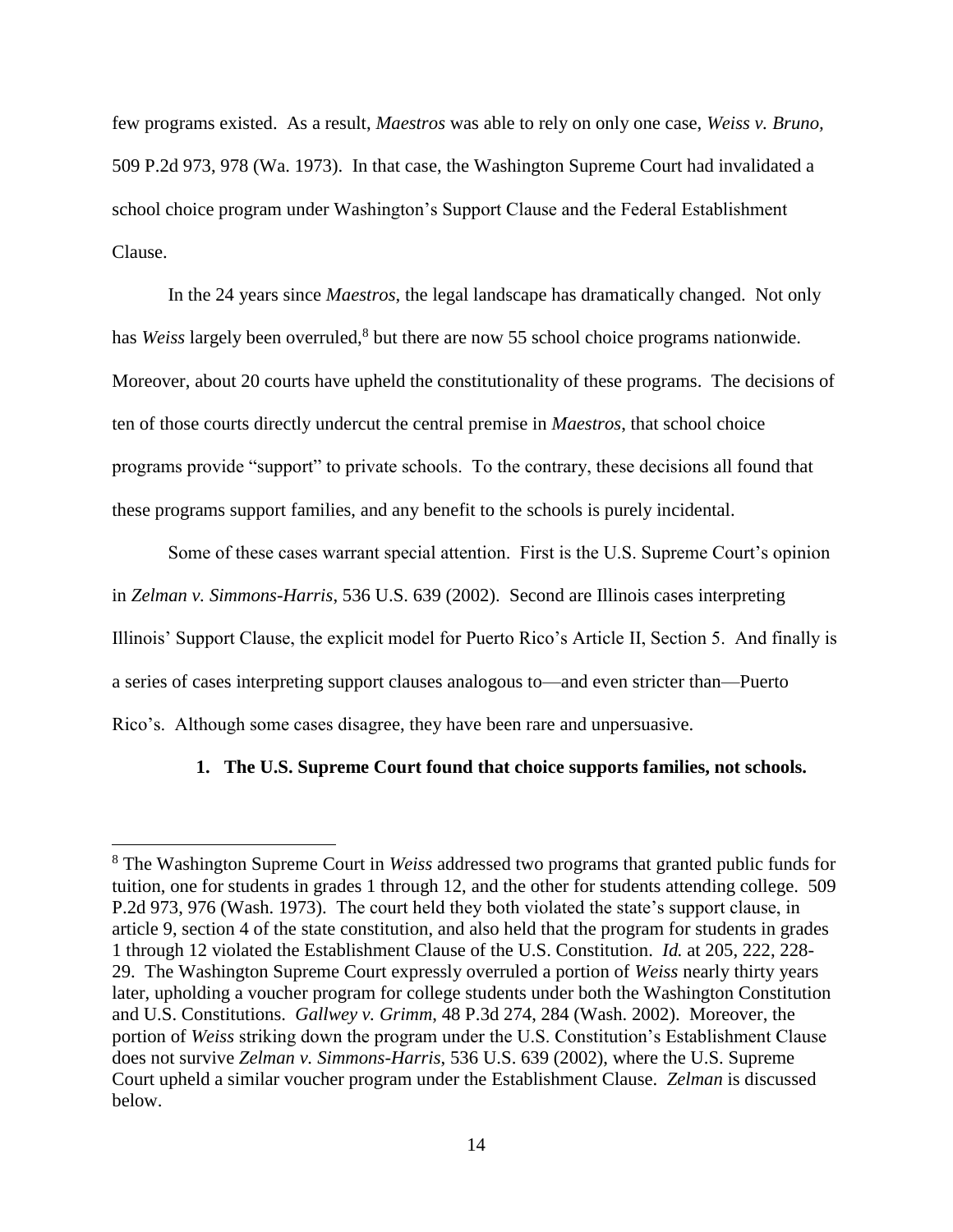few programs existed. As a result, *Maestros* was able to rely on only one case, *Weiss v. Bruno,* 509 P.2d 973, 978 (Wa. 1973). In that case, the Washington Supreme Court had invalidated a school choice program under Washington's Support Clause and the Federal Establishment Clause.

In the 24 years since *Maestros*, the legal landscape has dramatically changed. Not only has *Weiss* largely been overruled,<sup>8</sup> but there are now 55 school choice programs nationwide. Moreover, about 20 courts have upheld the constitutionality of these programs. The decisions of ten of those courts directly undercut the central premise in *Maestros*, that school choice programs provide "support" to private schools. To the contrary, these decisions all found that these programs support families, and any benefit to the schools is purely incidental.

Some of these cases warrant special attention. First is the U.S. Supreme Court's opinion in *Zelman v. Simmons-Harris*, 536 U.S. 639 (2002). Second are Illinois cases interpreting Illinois' Support Clause, the explicit model for Puerto Rico's Article II, Section 5. And finally is a series of cases interpreting support clauses analogous to—and even stricter than—Puerto Rico's. Although some cases disagree, they have been rare and unpersuasive.

### **1. The U.S. Supreme Court found that choice supports families, not schools.**

 $\overline{\phantom{a}}$ 

<sup>8</sup> The Washington Supreme Court in *Weiss* addressed two programs that granted public funds for tuition, one for students in grades 1 through 12, and the other for students attending college. 509 P.2d 973, 976 (Wash. 1973). The court held they both violated the state's support clause, in article 9, section 4 of the state constitution, and also held that the program for students in grades 1 through 12 violated the Establishment Clause of the U.S. Constitution. *Id.* at 205, 222, 228- 29. The Washington Supreme Court expressly overruled a portion of *Weiss* nearly thirty years later, upholding a voucher program for college students under both the Washington Constitution and U.S. Constitutions. *Gallwey v. Grimm*, 48 P.3d 274, 284 (Wash. 2002). Moreover, the portion of *Weiss* striking down the program under the U.S. Constitution's Establishment Clause does not survive *Zelman v. Simmons-Harris*, 536 U.S. 639 (2002), where the U.S. Supreme Court upheld a similar voucher program under the Establishment Clause. *Zelman* is discussed below.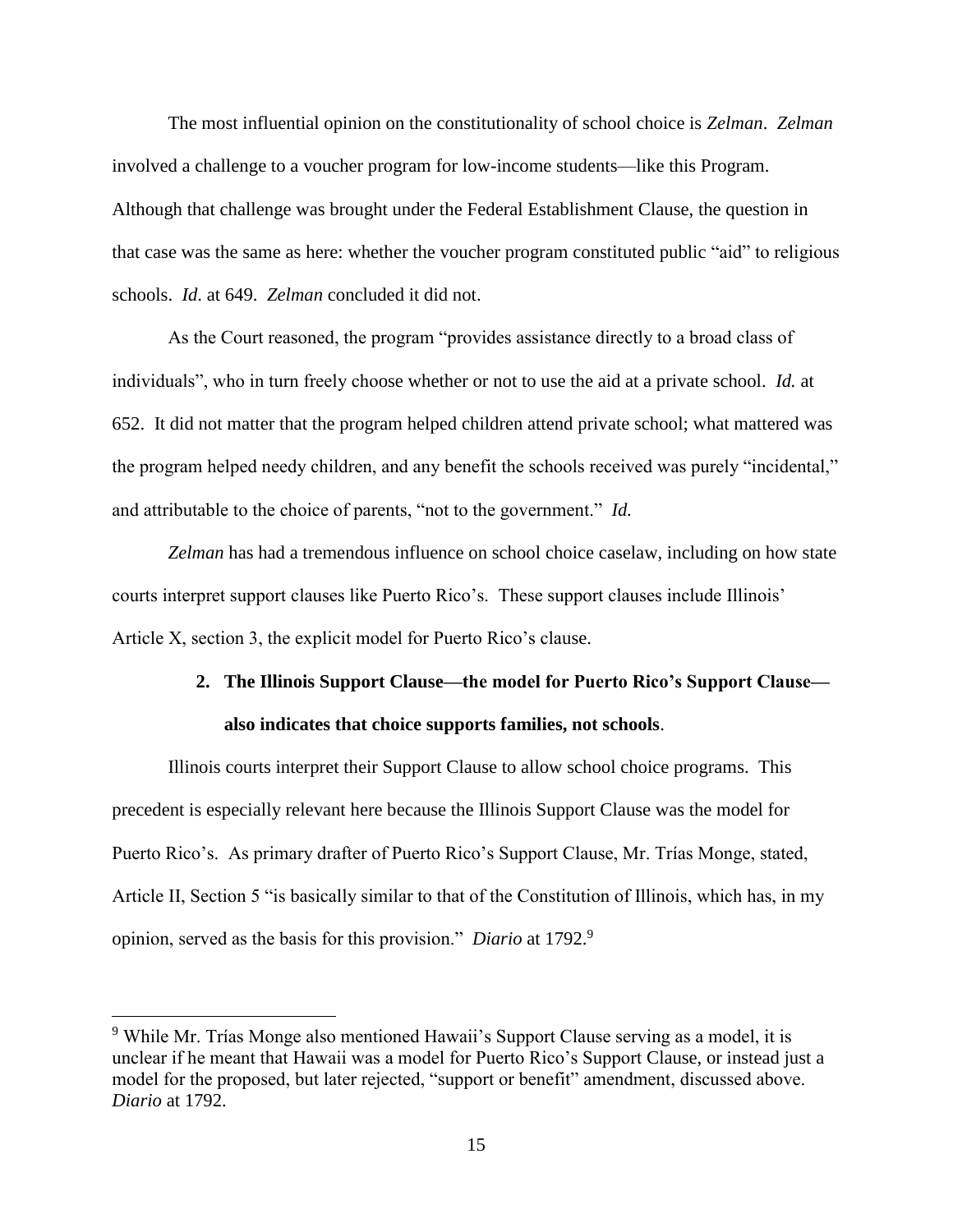The most influential opinion on the constitutionality of school choice is *Zelman*. *Zelman*  involved a challenge to a voucher program for low-income students—like this Program. Although that challenge was brought under the Federal Establishment Clause, the question in that case was the same as here: whether the voucher program constituted public "aid" to religious schools. *Id*. at 649. *Zelman* concluded it did not.

As the Court reasoned, the program "provides assistance directly to a broad class of individuals", who in turn freely choose whether or not to use the aid at a private school. *Id.* at 652. It did not matter that the program helped children attend private school; what mattered was the program helped needy children, and any benefit the schools received was purely "incidental," and attributable to the choice of parents, "not to the government." *Id.*

*Zelman* has had a tremendous influence on school choice caselaw, including on how state courts interpret support clauses like Puerto Rico's. These support clauses include Illinois' Article X, section 3, the explicit model for Puerto Rico's clause.

# **2. The Illinois Support Clause—the model for Puerto Rico's Support Clause also indicates that choice supports families, not schools**.

Illinois courts interpret their Support Clause to allow school choice programs. This precedent is especially relevant here because the Illinois Support Clause was the model for Puerto Rico's. As primary drafter of Puerto Rico's Support Clause, Mr. Trías Monge, stated, Article II, Section 5 "is basically similar to that of the Constitution of Illinois, which has, in my opinion, served as the basis for this provision." *Diario* at 1792.<sup>9</sup>

l

<sup>9</sup> While Mr. Trías Monge also mentioned Hawaii's Support Clause serving as a model, it is unclear if he meant that Hawaii was a model for Puerto Rico's Support Clause, or instead just a model for the proposed, but later rejected, "support or benefit" amendment, discussed above. *Diario* at 1792.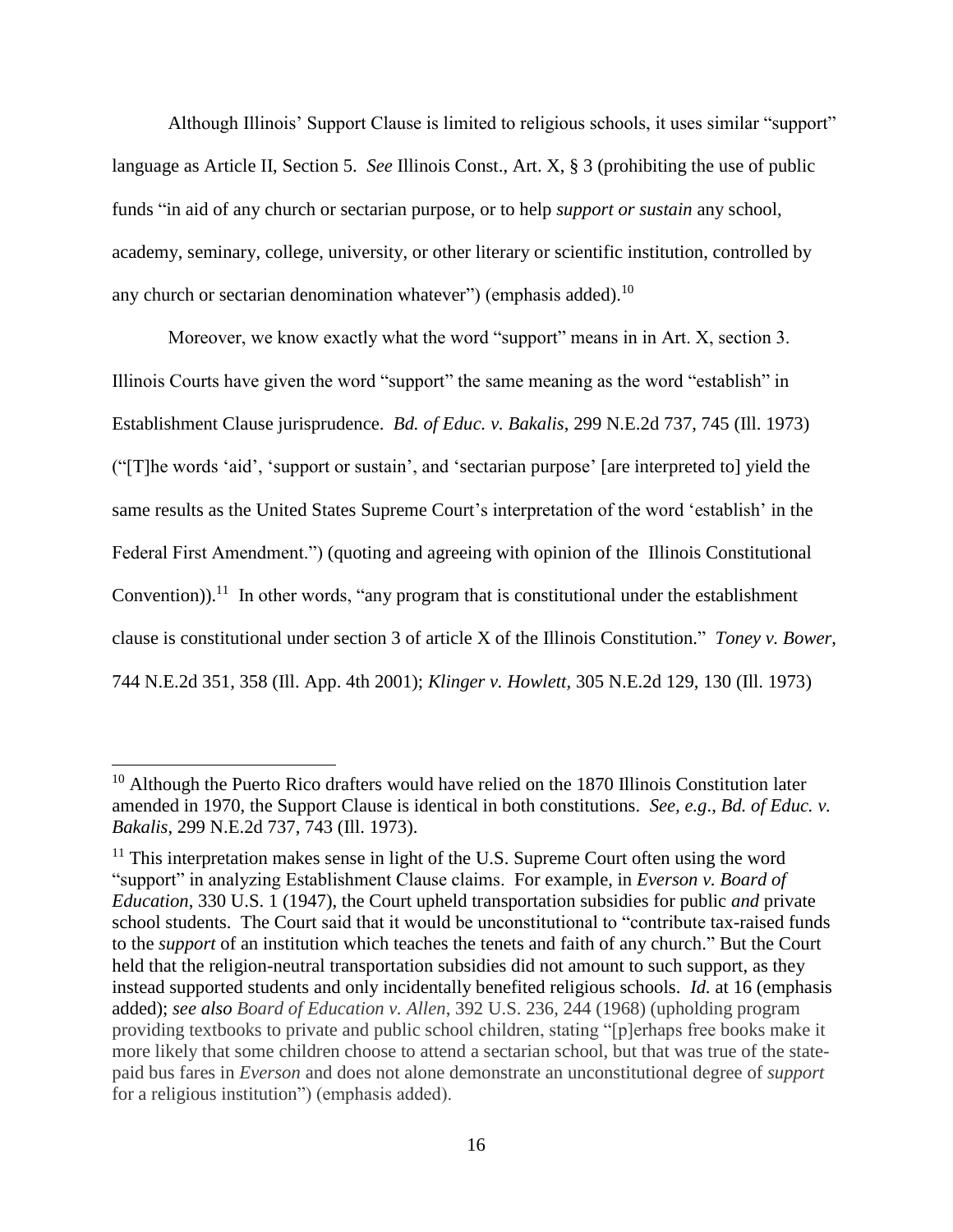Although Illinois' Support Clause is limited to religious schools, it uses similar "support" language as Article II, Section 5. *See* Illinois Const., Art. X, § 3 (prohibiting the use of public funds "in aid of any church or sectarian purpose, or to help *support or sustain* any school, academy, seminary, college, university, or other literary or scientific institution, controlled by any church or sectarian denomination whatever") (emphasis added).<sup>10</sup>

Moreover, we know exactly what the word "support" means in in Art. X, section 3. Illinois Courts have given the word "support" the same meaning as the word "establish" in Establishment Clause jurisprudence. *Bd. of Educ. v. Bakalis*, 299 N.E.2d 737, 745 (Ill. 1973) ("[T]he words 'aid', 'support or sustain', and 'sectarian purpose' [are interpreted to] yield the same results as the United States Supreme Court's interpretation of the word 'establish' in the Federal First Amendment.") (quoting and agreeing with opinion of the Illinois Constitutional Convention)).<sup>11</sup> In other words, "any program that is constitutional under the establishment clause is constitutional under section 3 of article X of the Illinois [Constitution."](https://advance.lexis.com/search/?pdmfid=1000516&crid=3d176e06-cb42-47d3-9028-451fe2ff36ab&pdsearchterms=744+N.E.2d+at+360&pdstartin=hlct%3A1%3A1&pdtypeofsearch=searchboxclick&pdsearchtype=SearchBox&pdqttype=and&pdpsf=&pdquerytemplateid=&ecomp=rtpL9kk&earg=pdpsf&prid=b75c3575-1f53-4a1a-84b8-79466a772a37) *Toney v. Bower*, 744 N.E.2d 351, 358 (Ill. App. 4th 2001); *Klinger v. Howlett,* 305 N.E.2d 129, 130 (Ill. 1973)

 $\overline{\phantom{a}}$ 

 $10$  Although the Puerto Rico drafters would have relied on the 1870 Illinois Constitution later amended in 1970, the Support Clause is identical in both constitutions. *See, e.g*., *Bd. of Educ. v. Bakalis*, 299 N.E.2d 737, 743 (Ill. 1973).

 $11$  This interpretation makes sense in light of the U.S. Supreme Court often using the word "support" in analyzing Establishment Clause claims. For example, in *Everson v. Board of Education*, 330 U.S. 1 (1947), the Court upheld transportation subsidies for public *and* private school students. The Court said that it would be unconstitutional to "contribute tax-raised funds to the *support* of an institution which teaches the tenets and faith of any church." But the Court held that the religion-neutral transportation subsidies did not amount to such support, as they instead supported students and only incidentally benefited religious schools. *Id.* at 16 (emphasis added); *see also Board of Education v. Allen*, 392 U.S. 236, 244 (1968) (upholding program providing textbooks to private and public school children, stating "[p]erhaps free books make it more likely that some children choose to attend a sectarian school, but that was true of the statepaid bus fares in *Everson* and does not alone demonstrate an unconstitutional degree of *support* for a religious institution") (emphasis added).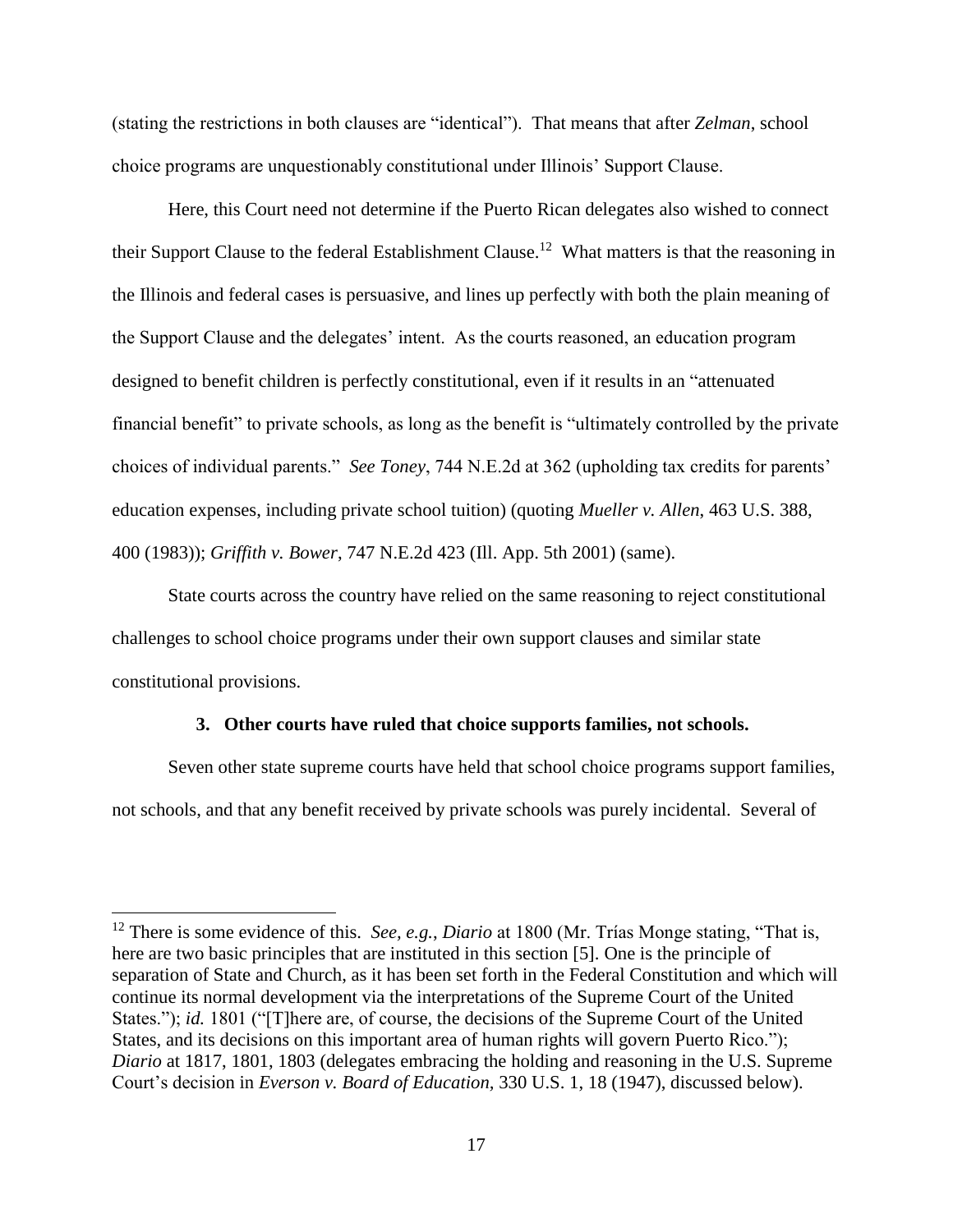(stating the restrictions in both clauses are "identical"). That means that after *Zelman*, school choice programs are unquestionably constitutional under Illinois' Support Clause.

Here, this Court need not determine if the Puerto Rican delegates also wished to connect their Support Clause to the federal Establishment Clause.<sup>12</sup> What matters is that the reasoning in the Illinois and federal cases is persuasive, and lines up perfectly with both the plain meaning of the Support Clause and the delegates' intent. As the courts reasoned, an education program designed to benefit children is perfectly constitutional, even if it results in an "attenuated financial benefit" to private schools, as long as the benefit is "ultimately controlled by the private choices of individual parents." *See Toney*, 744 N.E.2d at 362 (upholding tax credits for parents' education expenses, including private school tuition) (quoting *Mueller v. Allen*, 463 U.S. 388, 400 (1983)); *Griffith v. Bower*, 747 N.E.2d 423 (Ill. App. 5th 2001) (same).

State courts across the country have relied on the same reasoning to reject constitutional challenges to school choice programs under their own support clauses and similar state constitutional provisions.

### **3. Other courts have ruled that choice supports families, not schools.**

Seven other state supreme courts have held that school choice programs support families, not schools, and that any benefit received by private schools was purely incidental. Several of

l

<sup>12</sup> There is some evidence of this. *See, e.g.*, *Diario* at 1800 (Mr. Trías Monge stating, "That is, here are two basic principles that are instituted in this section [5]. One is the principle of separation of State and Church, as it has been set forth in the Federal Constitution and which will continue its normal development via the interpretations of the Supreme Court of the United States."); *id.* 1801 ("[T]here are, of course, the decisions of the Supreme Court of the United States, and its decisions on this important area of human rights will govern Puerto Rico."); *Diario* at 1817, 1801, 1803 (delegates embracing the holding and reasoning in the U.S. Supreme Court's decision in *Everson v. Board of Education,* 330 U.S. 1, 18 (1947), discussed below).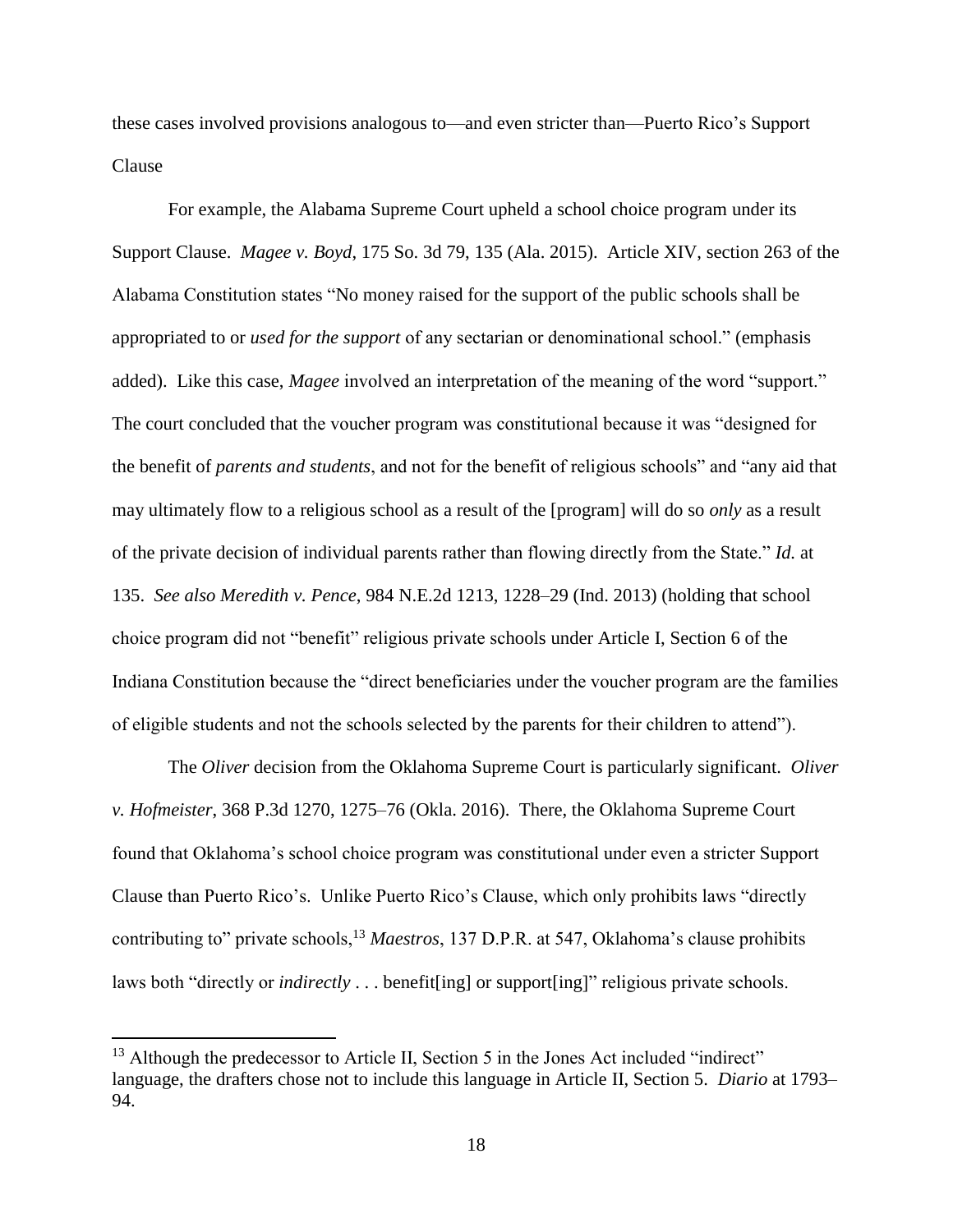these cases involved provisions analogous to—and even stricter than—Puerto Rico's Support Clause

For example, the Alabama Supreme Court upheld a school choice program under its Support Clause. *Magee v. Boyd*, 175 So. 3d 79, 135 (Ala. 2015). Article XIV, section 263 of the Alabama Constitution states "No money raised for the support of the public schools shall be appropriated to or *used for the support* of any sectarian or denominational school." (emphasis added). Like this case, *Magee* involved an interpretation of the meaning of the word "support." The court concluded that the voucher program was constitutional because it was "designed for the benefit of *parents and students*, and not for the benefit of religious schools" and "any aid that may ultimately flow to a religious school as a result of the [program] will do so *only* as a result of the private decision of individual parents rather than flowing directly from the State." *Id.* at 135. *See also Meredith v. Pence*, 984 N.E.2d 1213, 1228–29 (Ind. 2013) (holding that school choice program did not "benefit" religious private schools under Article I, Section 6 of the Indiana Constitution because the "direct beneficiaries under the voucher program are the families of eligible students and not the schools selected by the parents for their children to attend").

The *Oliver* decision from the Oklahoma Supreme Court is particularly significant. *Oliver v. Hofmeister*, 368 P.3d 1270, 1275–76 (Okla. 2016). There, the Oklahoma Supreme Court found that Oklahoma's school choice program was constitutional under even a stricter Support Clause than Puerto Rico's. Unlike Puerto Rico's Clause, which only prohibits laws "directly contributing to" private schools,<sup>13</sup> *Maestros*, 137 D.P.R. at 547, Oklahoma's clause prohibits laws both "directly or *indirectly* . . . benefit[ing] or support[ing]" religious private schools.

 $\overline{a}$ 

 $13$  Although the predecessor to Article II, Section 5 in the Jones Act included "indirect" language, the drafters chose not to include this language in Article II, Section 5. *Diario* at 1793– 94.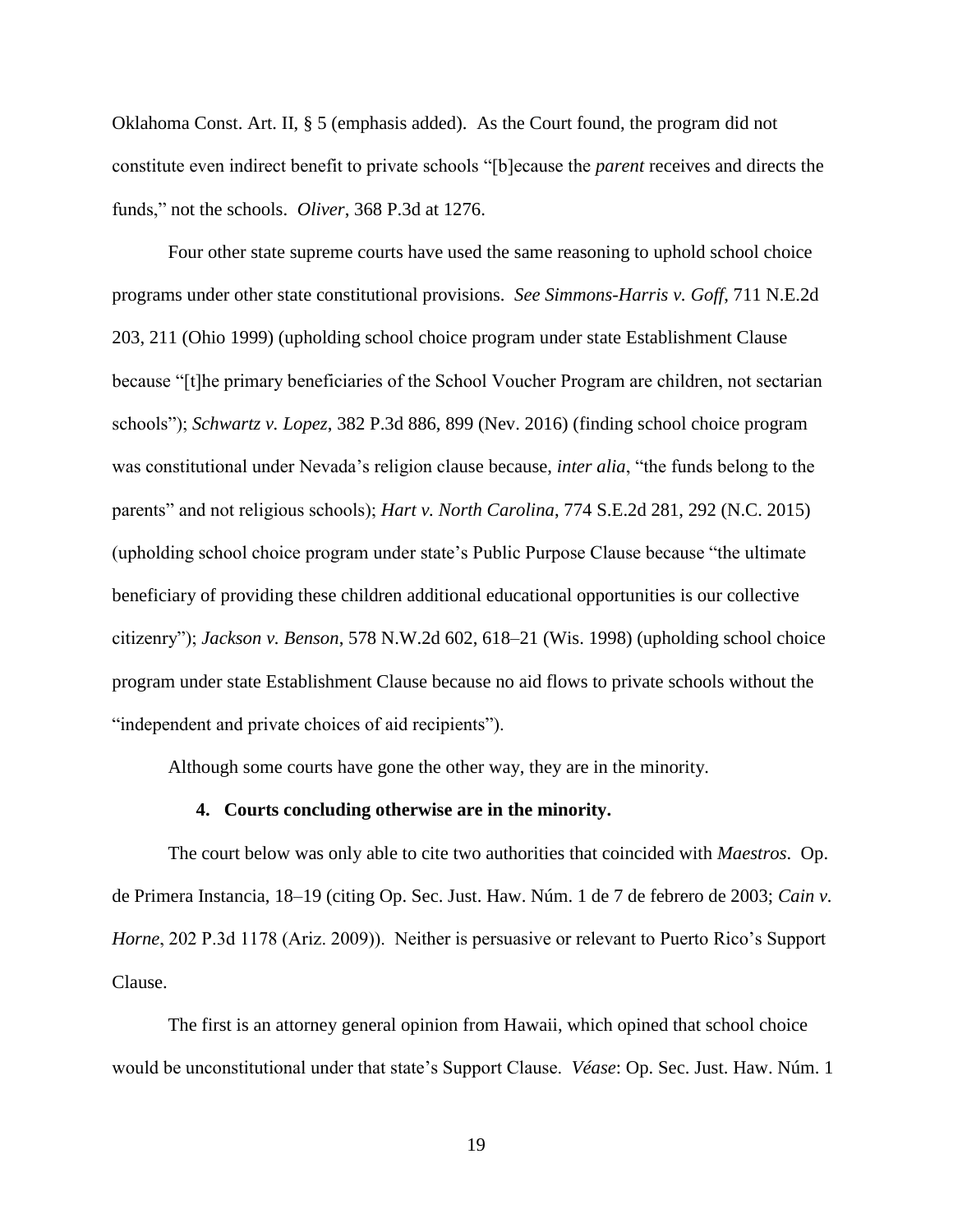Oklahoma Const. Art. II, § 5 (emphasis added). As the Court found, the program did not constitute even indirect benefit to private schools "[b]ecause the *parent* receives and directs the funds," not the schools. *Oliver*, 368 P.3d at 1276.

Four other state supreme courts have used the same reasoning to uphold school choice programs under other state constitutional provisions. *See Simmons-Harris v. Goff*, 711 N.E.2d 203, 211 (Ohio 1999) (upholding school choice program under state Establishment Clause because "[t]he primary beneficiaries of the School Voucher Program are children, not sectarian schools"); *Schwartz v. Lopez*, 382 P.3d 886, 899 (Nev. 2016) (finding school choice program was constitutional under Nevada's religion clause because, *inter alia*, "the funds belong to the parents" and not religious schools); *Hart v. North Carolina*, 774 S.E.2d 281, 292 (N.C. 2015) (upholding school choice program under state's Public Purpose Clause because "the ultimate beneficiary of providing these children additional educational opportunities is our collective citizenry"); *Jackson v. Benson*, 578 N.W.2d 602, 618–21 (Wis. 1998) (upholding school choice program under state Establishment Clause because no aid flows to private schools without the "independent and private choices of aid recipients").

Although some courts have gone the other way, they are in the minority.

### **4. Courts concluding otherwise are in the minority.**

The court below was only able to cite two authorities that coincided with *Maestros*. Op. de Primera Instancia, 18–19 (citing Op. Sec. Just. Haw. Núm. 1 de 7 de febrero de 2003; *Cain v. Horne*, 202 P.3d 1178 (Ariz. 2009)). Neither is persuasive or relevant to Puerto Rico's Support Clause.

The first is an attorney general opinion from Hawaii, which opined that school choice would be unconstitutional under that state's Support Clause. *Véase*: Op. Sec. Just. Haw. Núm. 1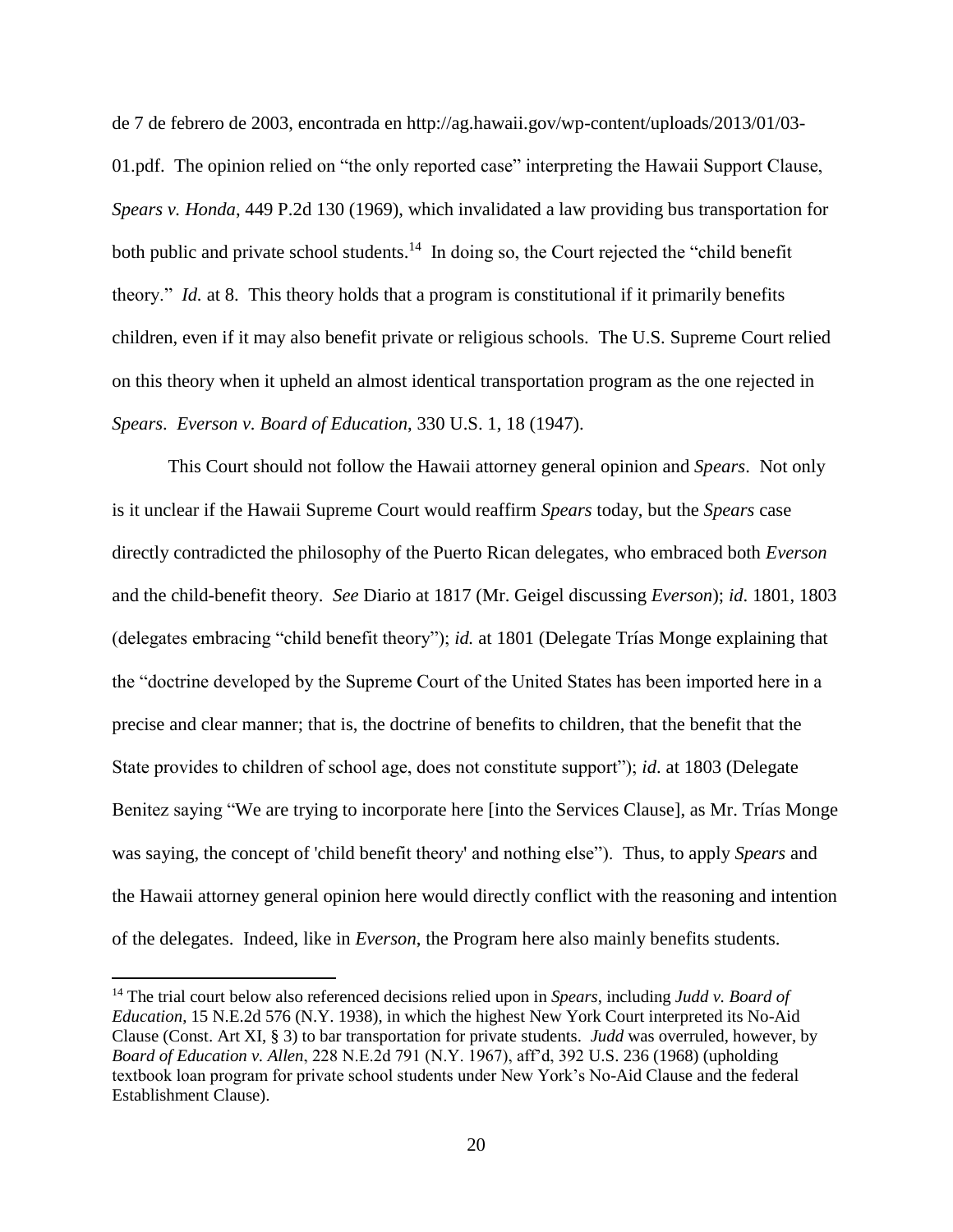de 7 de febrero de 2003, encontrada en http://ag.hawaii.gov/wp-content/uploads/2013/01/03- 01.pdf. The opinion relied on "the only reported case" interpreting the Hawaii Support Clause, *Spears v. Honda*, 449 P.2d 130 (1969), which invalidated a law providing bus transportation for both public and private school students.<sup>14</sup> In doing so, the Court rejected the "child benefit" theory." *Id.* at 8. This theory holds that a program is constitutional if it primarily benefits children, even if it may also benefit private or religious schools. The U.S. Supreme Court relied on this theory when it upheld an almost identical transportation program as the one rejected in *Spears*. *Everson v. Board of Education*, 330 U.S. 1, 18 (1947).

This Court should not follow the Hawaii attorney general opinion and *Spears*. Not only is it unclear if the Hawaii Supreme Court would reaffirm *Spears* today, but the *Spears* case directly contradicted the philosophy of the Puerto Rican delegates, who embraced both *Everson* and the child-benefit theory. *See* Diario at 1817 (Mr. Geigel discussing *Everson*); *id*. 1801, 1803 (delegates embracing "child benefit theory"); *id.* at 1801 (Delegate Trías Monge explaining that the "doctrine developed by the Supreme Court of the United States has been imported here in a precise and clear manner; that is, the doctrine of benefits to children, that the benefit that the State provides to children of school age, does not constitute support"); *id*. at 1803 (Delegate Benitez saying "We are trying to incorporate here [into the Services Clause], as Mr. Trías Monge was saying, the concept of 'child benefit theory' and nothing else"). Thus, to apply *Spears* and the Hawaii attorney general opinion here would directly conflict with the reasoning and intention of the delegates. Indeed, like in *Everson*, the Program here also mainly benefits students.

 $\overline{\phantom{a}}$ 

<sup>14</sup> The trial court below also referenced decisions relied upon in *Spears*, including *Judd v. Board of Education*, 15 N.E.2d 576 (N.Y. 1938), in which the highest New York Court interpreted its No-Aid Clause (Const. Art XI, § 3) to bar transportation for private students. *Judd* was overruled, however, by *Board of Education v. Allen*, 228 N.E.2d 791 (N.Y. 1967), aff'd, 392 U.S. 236 (1968) (upholding textbook loan program for private school students under New York's No-Aid Clause and the federal Establishment Clause).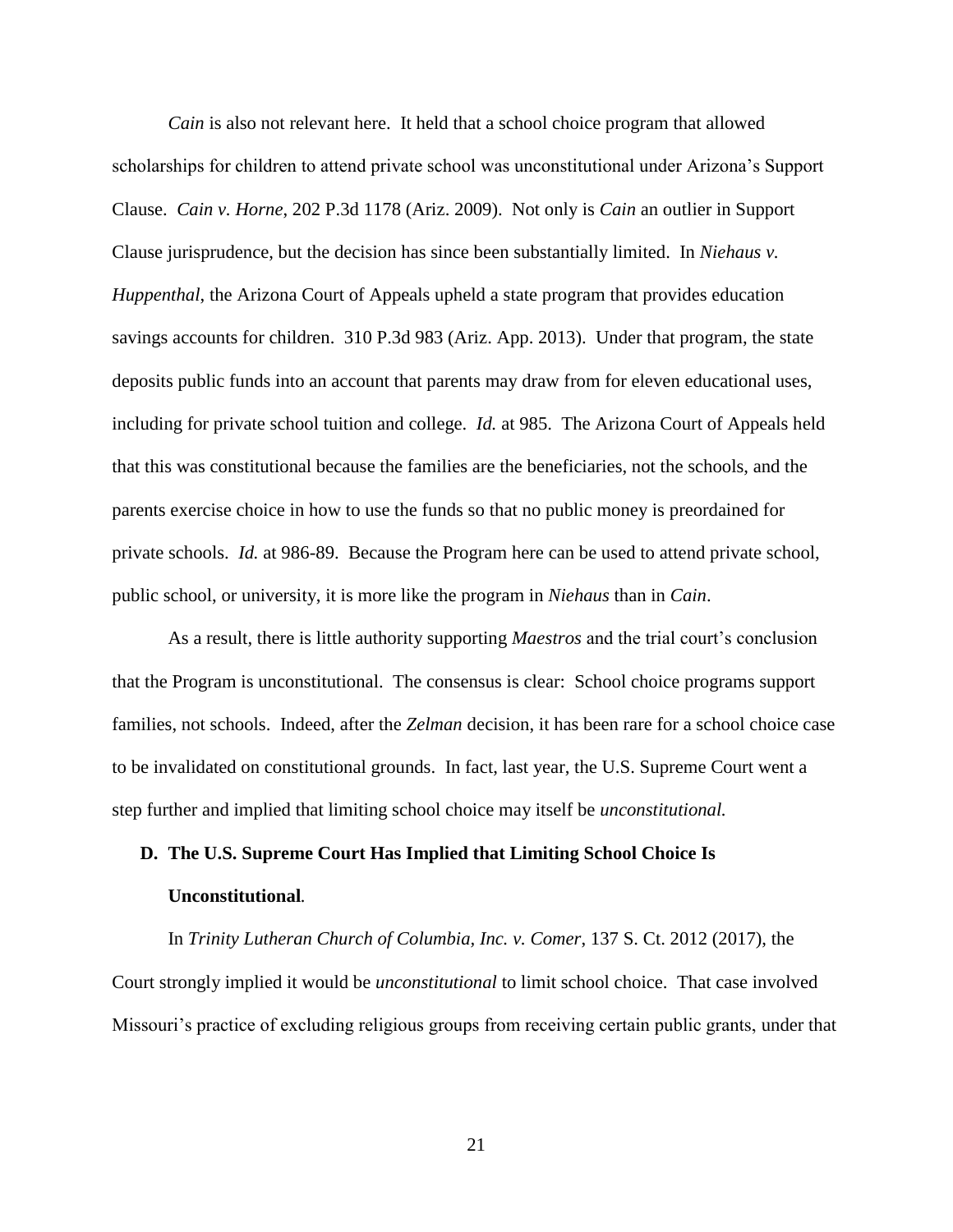*Cain* is also not relevant here. It held that a school choice program that allowed scholarships for children to attend private school was unconstitutional under Arizona's Support Clause. *Cain v. Horne*, 202 P.3d 1178 (Ariz. 2009). Not only is *Cain* an outlier in Support Clause jurisprudence, but the decision has since been substantially limited. In *Niehaus v. Huppenthal*, the Arizona Court of Appeals upheld a state program that provides education savings accounts for children. 310 P.3d 983 (Ariz. App. 2013). Under that program, the state deposits public funds into an account that parents may draw from for eleven educational uses, including for private school tuition and college. *Id.* at 985. The Arizona Court of Appeals held that this was constitutional because the families are the beneficiaries, not the schools, and the parents exercise choice in how to use the funds so that no public money is preordained for private schools. *Id.* at 986-89. Because the Program here can be used to attend private school, public school, or university, it is more like the program in *Niehaus* than in *Cain*.

As a result, there is little authority supporting *Maestros* and the trial court's conclusion that the Program is unconstitutional. The consensus is clear: School choice programs support families, not schools. Indeed, after the *Zelman* decision, it has been rare for a school choice case to be invalidated on constitutional grounds. In fact, last year, the U.S. Supreme Court went a step further and implied that limiting school choice may itself be *unconstitutional.* 

# **D. The U.S. Supreme Court Has Implied that Limiting School Choice Is Unconstitutional***.*

In *Trinity Lutheran Church of Columbia, Inc. v. Comer*, 137 S. Ct. 2012 (2017), the Court strongly implied it would be *unconstitutional* to limit school choice. That case involved Missouri's practice of excluding religious groups from receiving certain public grants, under that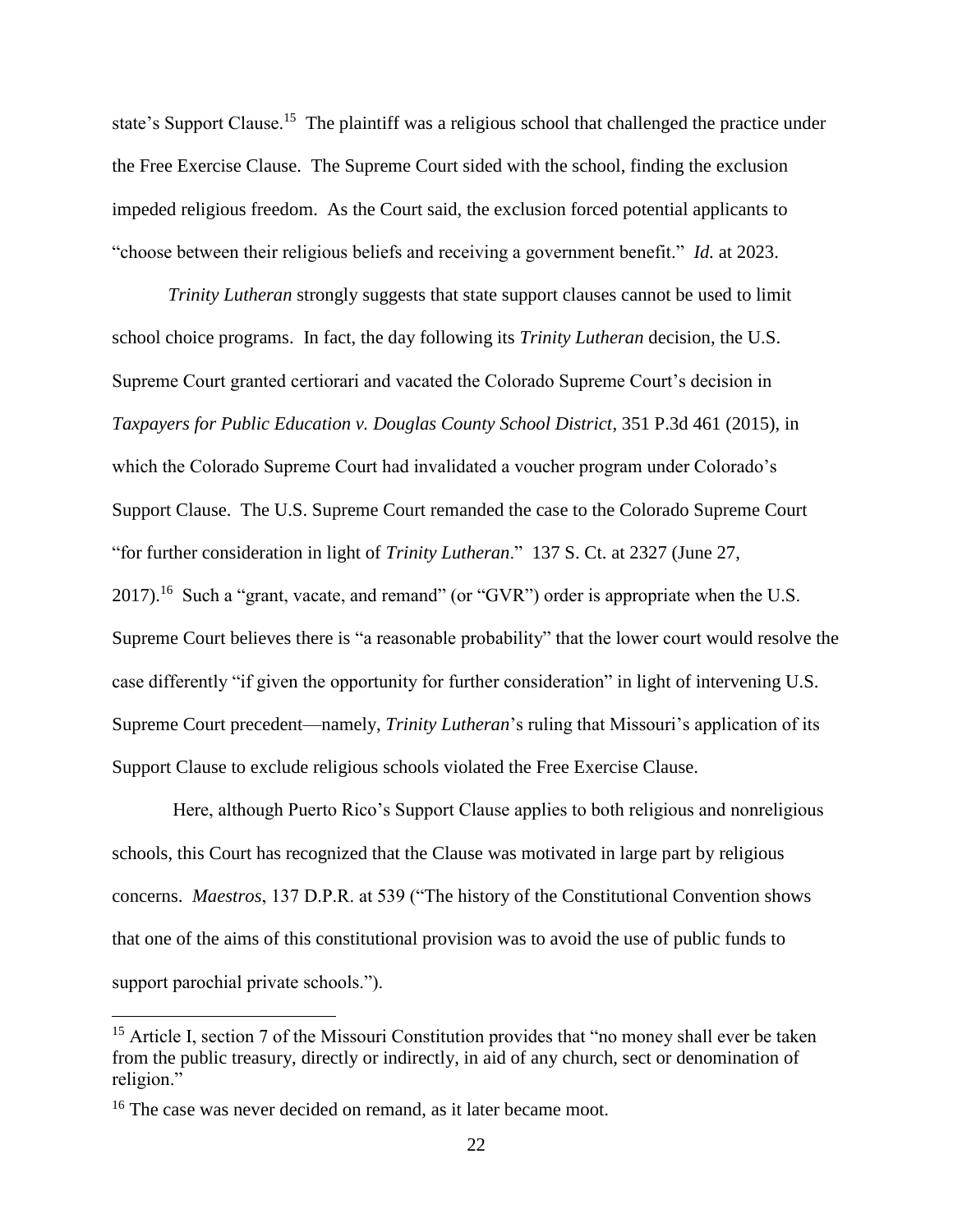state's Support Clause.<sup>15</sup> The plaintiff was a religious school that challenged the practice under the Free Exercise Clause. The Supreme Court sided with the school, finding the exclusion impeded religious freedom. As the Court said, the exclusion forced potential applicants to "choose between their religious beliefs and receiving a government benefit." *Id.* at 2023.

*Trinity Lutheran* strongly suggests that state support clauses cannot be used to limit school choice programs. In fact, the day following its *Trinity Lutheran* decision, the U.S. Supreme Court granted certiorari and vacated the Colorado Supreme Court's decision in *Taxpayers for Public Education v. Douglas County School District*, 351 P.3d 461 (2015), in which the Colorado Supreme Court had invalidated a voucher program under Colorado's Support Clause. The U.S. Supreme Court remanded the case to the Colorado Supreme Court "for further consideration in light of *Trinity Lutheran*." 137 S. Ct. at 2327 (June 27, 2017).<sup>16</sup> Such a "grant, vacate, and remand" (or "GVR") order is appropriate when the U.S. Supreme Court believes there is "a reasonable probability" that the lower court would resolve the case differently "if given the opportunity for further consideration" in light of intervening U.S. Supreme Court precedent—namely, *Trinity Lutheran*'s ruling that Missouri's application of its Support Clause to exclude religious schools violated the Free Exercise Clause.

Here, although Puerto Rico's Support Clause applies to both religious and nonreligious schools, this Court has recognized that the Clause was motivated in large part by religious concerns. *Maestros*, 137 D.P.R. at 539 ("The history of the Constitutional Convention shows that one of the aims of this constitutional provision was to avoid the use of public funds to support parochial private schools.").

l

<sup>&</sup>lt;sup>15</sup> Article I, section 7 of the Missouri Constitution provides that "no money shall ever be taken from the public treasury, directly or indirectly, in aid of any church, sect or denomination of religion."

<sup>&</sup>lt;sup>16</sup> The case was never decided on remand, as it later became moot.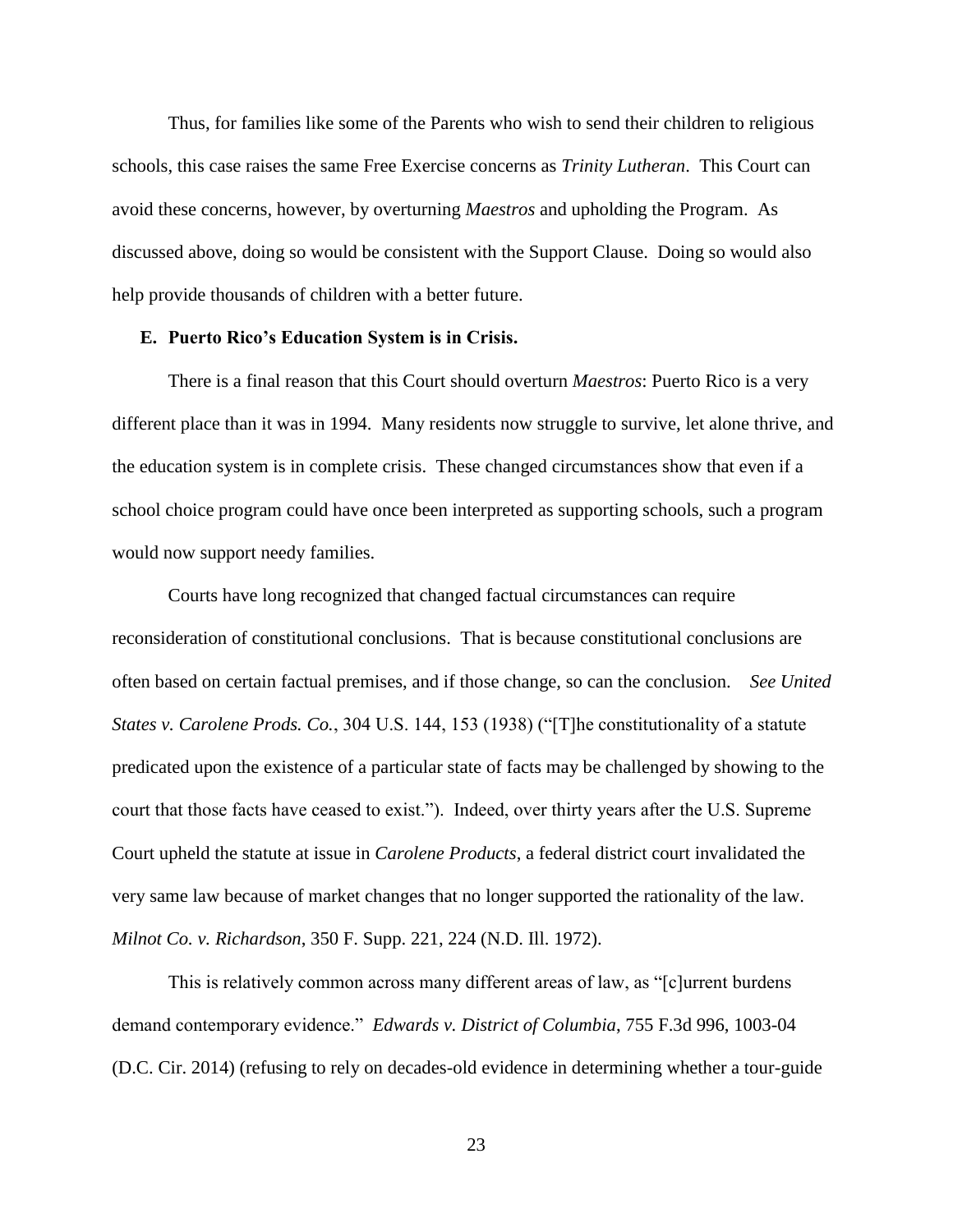Thus, for families like some of the Parents who wish to send their children to religious schools, this case raises the same Free Exercise concerns as *Trinity Lutheran*. This Court can avoid these concerns, however, by overturning *Maestros* and upholding the Program. As discussed above, doing so would be consistent with the Support Clause. Doing so would also help provide thousands of children with a better future.

### **E. Puerto Rico's Education System is in Crisis.**

There is a final reason that this Court should overturn *Maestros*: Puerto Rico is a very different place than it was in 1994. Many residents now struggle to survive, let alone thrive, and the education system is in complete crisis. These changed circumstances show that even if a school choice program could have once been interpreted as supporting schools, such a program would now support needy families.

Courts have long recognized that changed factual circumstances can require reconsideration of constitutional conclusions. That is because constitutional conclusions are often based on certain factual premises, and if those change, so can the conclusion. *See United States v. Carolene Prods. Co.*, 304 U.S. 144, 153 (1938) ("[T]he constitutionality of a statute predicated upon the existence of a particular state of facts may be challenged by showing to the court that those facts have ceased to exist."). Indeed, over thirty years after the U.S. Supreme Court upheld the statute at issue in *Carolene Products*, a federal district court invalidated the very same law because of market changes that no longer supported the rationality of the law. *Milnot Co. v. Richardson*, 350 F. Supp. 221, 224 (N.D. Ill. 1972).

This is relatively common across many different areas of law, as "[c]urrent burdens demand contemporary evidence." *Edwards v. District of Columbia*, 755 F.3d 996, 1003-04 (D.C. Cir. 2014) (refusing to rely on decades-old evidence in determining whether a tour-guide